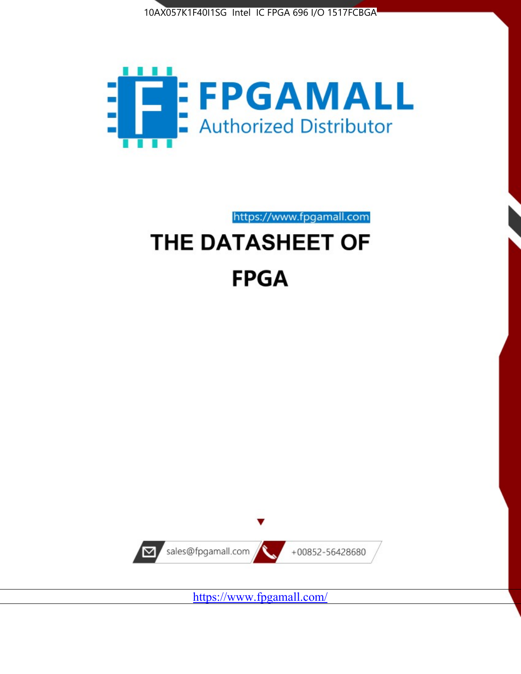



https://www.fpgamall.com

# THE DATASHEET OF **FPGA**



<https://www.fpgamall.com/>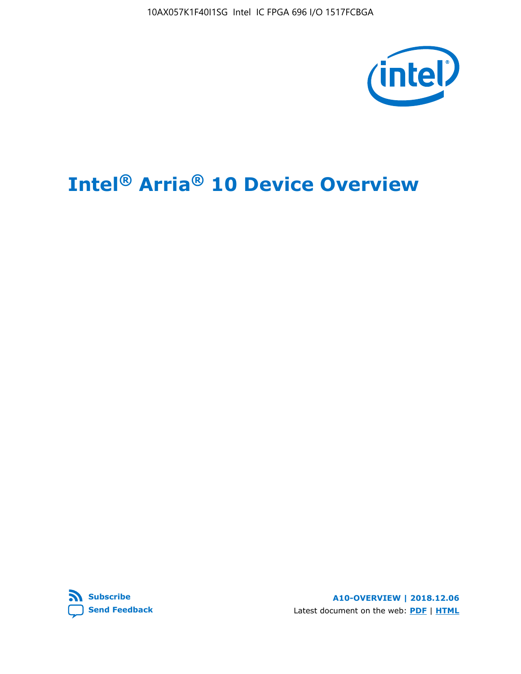10AX057K1F40I1SG Intel IC FPGA 696 I/O 1517FCBGA



# **Intel® Arria® 10 Device Overview**



**A10-OVERVIEW | 2018.12.06** Latest document on the web: **[PDF](https://www.intel.com/content/dam/www/programmable/us/en/pdfs/literature/hb/arria-10/a10_overview.pdf)** | **[HTML](https://www.intel.com/content/www/us/en/programmable/documentation/sam1403480274650.html)**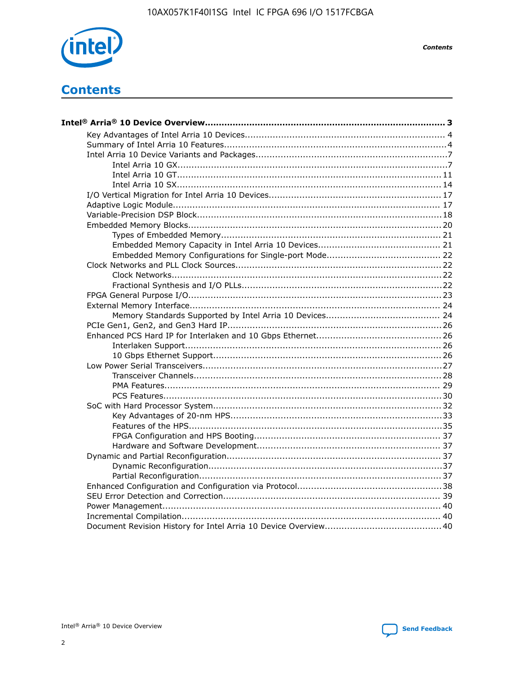

**Contents** 

# **Contents**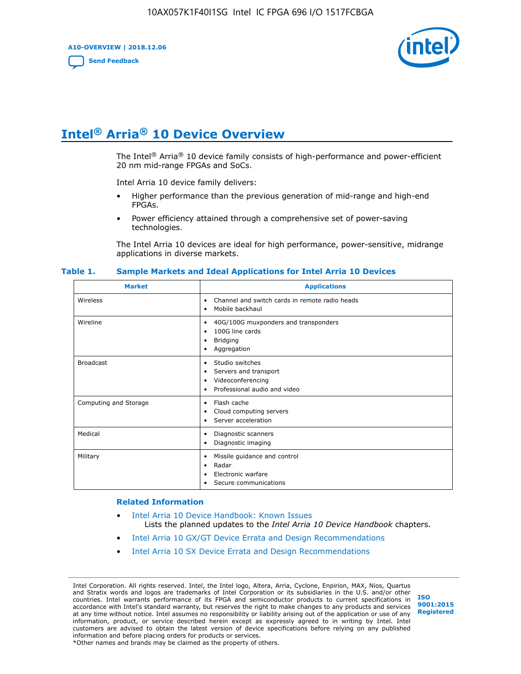**A10-OVERVIEW | 2018.12.06**

**[Send Feedback](mailto:FPGAtechdocfeedback@intel.com?subject=Feedback%20on%20Intel%20Arria%2010%20Device%20Overview%20(A10-OVERVIEW%202018.12.06)&body=We%20appreciate%20your%20feedback.%20In%20your%20comments,%20also%20specify%20the%20page%20number%20or%20paragraph.%20Thank%20you.)**



# **Intel® Arria® 10 Device Overview**

The Intel<sup>®</sup> Arria<sup>®</sup> 10 device family consists of high-performance and power-efficient 20 nm mid-range FPGAs and SoCs.

Intel Arria 10 device family delivers:

- Higher performance than the previous generation of mid-range and high-end FPGAs.
- Power efficiency attained through a comprehensive set of power-saving technologies.

The Intel Arria 10 devices are ideal for high performance, power-sensitive, midrange applications in diverse markets.

| <b>Market</b>         | <b>Applications</b>                                                                                               |
|-----------------------|-------------------------------------------------------------------------------------------------------------------|
| Wireless              | Channel and switch cards in remote radio heads<br>٠<br>Mobile backhaul<br>٠                                       |
| Wireline              | 40G/100G muxponders and transponders<br>٠<br>100G line cards<br>٠<br><b>Bridging</b><br>٠<br>Aggregation<br>٠     |
| <b>Broadcast</b>      | Studio switches<br>٠<br>Servers and transport<br>٠<br>Videoconferencing<br>٠<br>Professional audio and video<br>٠ |
| Computing and Storage | Flash cache<br>٠<br>Cloud computing servers<br>٠<br>Server acceleration<br>٠                                      |
| Medical               | Diagnostic scanners<br>٠<br>Diagnostic imaging<br>٠                                                               |
| Military              | Missile guidance and control<br>٠<br>Radar<br>٠<br>Electronic warfare<br>٠<br>Secure communications<br>٠          |

#### **Table 1. Sample Markets and Ideal Applications for Intel Arria 10 Devices**

#### **Related Information**

- [Intel Arria 10 Device Handbook: Known Issues](http://www.altera.com/support/kdb/solutions/rd07302013_646.html) Lists the planned updates to the *Intel Arria 10 Device Handbook* chapters.
- [Intel Arria 10 GX/GT Device Errata and Design Recommendations](https://www.intel.com/content/www/us/en/programmable/documentation/agz1493851706374.html#yqz1494433888646)
- [Intel Arria 10 SX Device Errata and Design Recommendations](https://www.intel.com/content/www/us/en/programmable/documentation/cru1462832385668.html#cru1462832558642)

Intel Corporation. All rights reserved. Intel, the Intel logo, Altera, Arria, Cyclone, Enpirion, MAX, Nios, Quartus and Stratix words and logos are trademarks of Intel Corporation or its subsidiaries in the U.S. and/or other countries. Intel warrants performance of its FPGA and semiconductor products to current specifications in accordance with Intel's standard warranty, but reserves the right to make changes to any products and services at any time without notice. Intel assumes no responsibility or liability arising out of the application or use of any information, product, or service described herein except as expressly agreed to in writing by Intel. Intel customers are advised to obtain the latest version of device specifications before relying on any published information and before placing orders for products or services. \*Other names and brands may be claimed as the property of others.

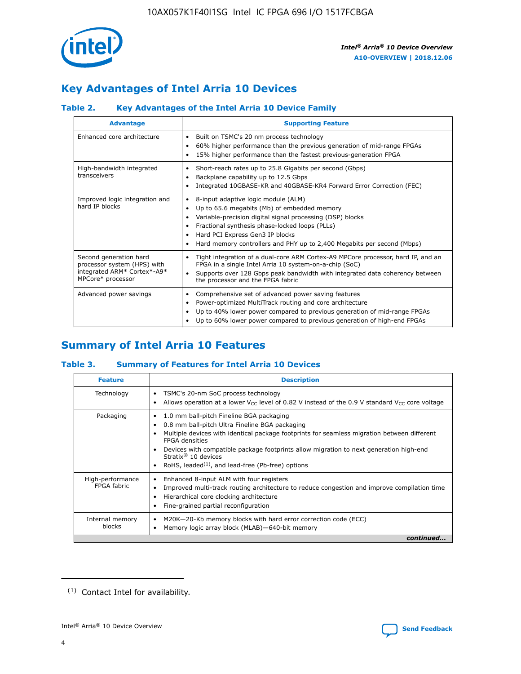

# **Key Advantages of Intel Arria 10 Devices**

# **Table 2. Key Advantages of the Intel Arria 10 Device Family**

| <b>Advantage</b>                                                                                          | <b>Supporting Feature</b>                                                                                                                                                                                                                                                                                                |
|-----------------------------------------------------------------------------------------------------------|--------------------------------------------------------------------------------------------------------------------------------------------------------------------------------------------------------------------------------------------------------------------------------------------------------------------------|
| Enhanced core architecture                                                                                | Built on TSMC's 20 nm process technology<br>٠<br>60% higher performance than the previous generation of mid-range FPGAs<br>٠<br>15% higher performance than the fastest previous-generation FPGA<br>٠                                                                                                                    |
| High-bandwidth integrated<br>transceivers                                                                 | Short-reach rates up to 25.8 Gigabits per second (Gbps)<br>٠<br>Backplane capability up to 12.5 Gbps<br>٠<br>Integrated 10GBASE-KR and 40GBASE-KR4 Forward Error Correction (FEC)<br>٠                                                                                                                                   |
| Improved logic integration and<br>hard IP blocks                                                          | 8-input adaptive logic module (ALM)<br>٠<br>Up to 65.6 megabits (Mb) of embedded memory<br>٠<br>Variable-precision digital signal processing (DSP) blocks<br>Fractional synthesis phase-locked loops (PLLs)<br>Hard PCI Express Gen3 IP blocks<br>Hard memory controllers and PHY up to 2,400 Megabits per second (Mbps) |
| Second generation hard<br>processor system (HPS) with<br>integrated ARM* Cortex*-A9*<br>MPCore* processor | Tight integration of a dual-core ARM Cortex-A9 MPCore processor, hard IP, and an<br>٠<br>FPGA in a single Intel Arria 10 system-on-a-chip (SoC)<br>Supports over 128 Gbps peak bandwidth with integrated data coherency between<br>$\bullet$<br>the processor and the FPGA fabric                                        |
| Advanced power savings                                                                                    | Comprehensive set of advanced power saving features<br>٠<br>Power-optimized MultiTrack routing and core architecture<br>٠<br>Up to 40% lower power compared to previous generation of mid-range FPGAs<br>Up to 60% lower power compared to previous generation of high-end FPGAs                                         |

# **Summary of Intel Arria 10 Features**

## **Table 3. Summary of Features for Intel Arria 10 Devices**

| <b>Feature</b>                  | <b>Description</b>                                                                                                                                                                                                                                                                                                                                                                                       |
|---------------------------------|----------------------------------------------------------------------------------------------------------------------------------------------------------------------------------------------------------------------------------------------------------------------------------------------------------------------------------------------------------------------------------------------------------|
| Technology                      | TSMC's 20-nm SoC process technology<br>٠<br>Allows operation at a lower $V_{\text{CC}}$ level of 0.82 V instead of the 0.9 V standard $V_{\text{CC}}$ core voltage                                                                                                                                                                                                                                       |
| Packaging                       | 1.0 mm ball-pitch Fineline BGA packaging<br>0.8 mm ball-pitch Ultra Fineline BGA packaging<br>Multiple devices with identical package footprints for seamless migration between different<br><b>FPGA</b> densities<br>Devices with compatible package footprints allow migration to next generation high-end<br>Stratix $\mathcal{R}$ 10 devices<br>RoHS, leaded $(1)$ , and lead-free (Pb-free) options |
| High-performance<br>FPGA fabric | Enhanced 8-input ALM with four registers<br>٠<br>Improved multi-track routing architecture to reduce congestion and improve compilation time<br>Hierarchical core clocking architecture<br>Fine-grained partial reconfiguration                                                                                                                                                                          |
| Internal memory<br>blocks       | M20K-20-Kb memory blocks with hard error correction code (ECC)<br>Memory logic array block (MLAB)-640-bit memory                                                                                                                                                                                                                                                                                         |
|                                 | continued                                                                                                                                                                                                                                                                                                                                                                                                |



<sup>(1)</sup> Contact Intel for availability.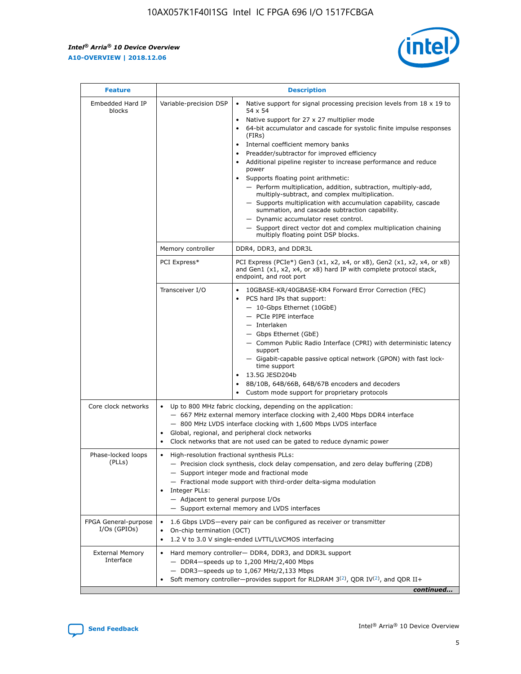r



| <b>Feature</b>                         |                                                                                                                                                                                                                                                                                                                      | <b>Description</b>                                                                                                                                                                                                                                                                                                                                                                                                                                                                                                                                                                                                                                                                                                                                                                                                                     |  |  |  |  |
|----------------------------------------|----------------------------------------------------------------------------------------------------------------------------------------------------------------------------------------------------------------------------------------------------------------------------------------------------------------------|----------------------------------------------------------------------------------------------------------------------------------------------------------------------------------------------------------------------------------------------------------------------------------------------------------------------------------------------------------------------------------------------------------------------------------------------------------------------------------------------------------------------------------------------------------------------------------------------------------------------------------------------------------------------------------------------------------------------------------------------------------------------------------------------------------------------------------------|--|--|--|--|
| Embedded Hard IP<br>blocks             | Variable-precision DSP                                                                                                                                                                                                                                                                                               | Native support for signal processing precision levels from $18 \times 19$ to<br>54 x 54<br>Native support for 27 x 27 multiplier mode<br>64-bit accumulator and cascade for systolic finite impulse responses<br>(FIRs)<br>Internal coefficient memory banks<br>$\bullet$<br>Preadder/subtractor for improved efficiency<br>Additional pipeline register to increase performance and reduce<br>power<br>Supports floating point arithmetic:<br>- Perform multiplication, addition, subtraction, multiply-add,<br>multiply-subtract, and complex multiplication.<br>- Supports multiplication with accumulation capability, cascade<br>summation, and cascade subtraction capability.<br>- Dynamic accumulator reset control.<br>- Support direct vector dot and complex multiplication chaining<br>multiply floating point DSP blocks. |  |  |  |  |
|                                        | Memory controller                                                                                                                                                                                                                                                                                                    | DDR4, DDR3, and DDR3L                                                                                                                                                                                                                                                                                                                                                                                                                                                                                                                                                                                                                                                                                                                                                                                                                  |  |  |  |  |
|                                        | PCI Express*                                                                                                                                                                                                                                                                                                         | PCI Express (PCIe*) Gen3 (x1, x2, x4, or x8), Gen2 (x1, x2, x4, or x8)<br>and Gen1 (x1, x2, x4, or x8) hard IP with complete protocol stack,<br>endpoint, and root port                                                                                                                                                                                                                                                                                                                                                                                                                                                                                                                                                                                                                                                                |  |  |  |  |
|                                        | Transceiver I/O                                                                                                                                                                                                                                                                                                      | 10GBASE-KR/40GBASE-KR4 Forward Error Correction (FEC)<br>PCS hard IPs that support:<br>$\bullet$<br>- 10-Gbps Ethernet (10GbE)<br>- PCIe PIPE interface<br>$-$ Interlaken<br>- Gbps Ethernet (GbE)<br>- Common Public Radio Interface (CPRI) with deterministic latency<br>support<br>- Gigabit-capable passive optical network (GPON) with fast lock-<br>time support<br>13.5G JESD204b<br>$\bullet$<br>8B/10B, 64B/66B, 64B/67B encoders and decoders<br>Custom mode support for proprietary protocols                                                                                                                                                                                                                                                                                                                               |  |  |  |  |
| Core clock networks                    | $\bullet$<br>$\bullet$                                                                                                                                                                                                                                                                                               | Up to 800 MHz fabric clocking, depending on the application:<br>- 667 MHz external memory interface clocking with 2,400 Mbps DDR4 interface<br>- 800 MHz LVDS interface clocking with 1,600 Mbps LVDS interface<br>Global, regional, and peripheral clock networks<br>Clock networks that are not used can be gated to reduce dynamic power                                                                                                                                                                                                                                                                                                                                                                                                                                                                                            |  |  |  |  |
| Phase-locked loops<br>(PLLs)           | High-resolution fractional synthesis PLLs:<br>$\bullet$<br>Integer PLLs:<br>- Adjacent to general purpose I/Os                                                                                                                                                                                                       | - Precision clock synthesis, clock delay compensation, and zero delay buffering (ZDB)<br>- Support integer mode and fractional mode<br>- Fractional mode support with third-order delta-sigma modulation<br>- Support external memory and LVDS interfaces                                                                                                                                                                                                                                                                                                                                                                                                                                                                                                                                                                              |  |  |  |  |
| FPGA General-purpose<br>$I/Os$ (GPIOs) | On-chip termination (OCT)                                                                                                                                                                                                                                                                                            | 1.6 Gbps LVDS-every pair can be configured as receiver or transmitter                                                                                                                                                                                                                                                                                                                                                                                                                                                                                                                                                                                                                                                                                                                                                                  |  |  |  |  |
| <b>External Memory</b><br>Interface    | 1.2 V to 3.0 V single-ended LVTTL/LVCMOS interfacing<br>Hard memory controller- DDR4, DDR3, and DDR3L support<br>$-$ DDR4-speeds up to 1,200 MHz/2,400 Mbps<br>- DDR3-speeds up to 1,067 MHz/2,133 Mbps<br>Soft memory controller—provides support for RLDRAM $3^{(2)}$ , QDR IV $^{(2)}$ , and QDR II+<br>continued |                                                                                                                                                                                                                                                                                                                                                                                                                                                                                                                                                                                                                                                                                                                                                                                                                                        |  |  |  |  |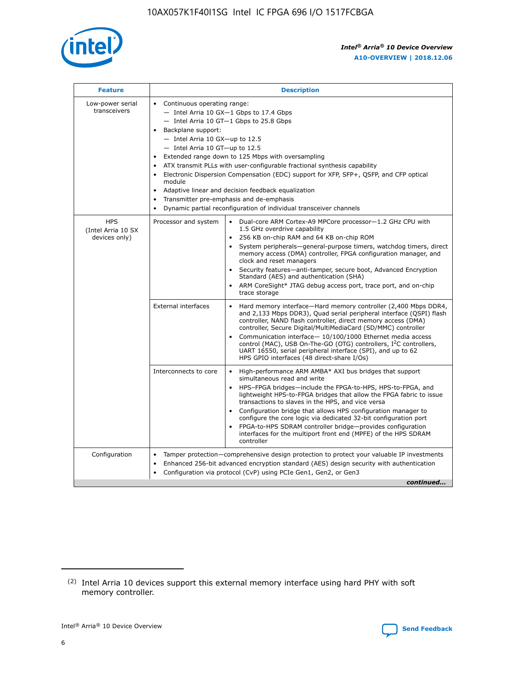

| <b>Feature</b>                                    | <b>Description</b>                                                                                                                                                                                                                                                                                                                                                                                                                                                                                                                                                                                                                                  |
|---------------------------------------------------|-----------------------------------------------------------------------------------------------------------------------------------------------------------------------------------------------------------------------------------------------------------------------------------------------------------------------------------------------------------------------------------------------------------------------------------------------------------------------------------------------------------------------------------------------------------------------------------------------------------------------------------------------------|
| Low-power serial<br>transceivers                  | • Continuous operating range:<br>- Intel Arria 10 GX-1 Gbps to 17.4 Gbps<br>- Intel Arria 10 GT-1 Gbps to 25.8 Gbps<br>Backplane support:<br>- Intel Arria 10 GX-up to 12.5<br>- Intel Arria 10 GT-up to 12.5<br>Extended range down to 125 Mbps with oversampling<br>ATX transmit PLLs with user-configurable fractional synthesis capability<br>Electronic Dispersion Compensation (EDC) support for XFP, SFP+, QSFP, and CFP optical<br>module<br>Adaptive linear and decision feedback equalization<br>$\bullet$<br>Transmitter pre-emphasis and de-emphasis<br>$\bullet$<br>Dynamic partial reconfiguration of individual transceiver channels |
| <b>HPS</b><br>(Intel Arria 10 SX<br>devices only) | Dual-core ARM Cortex-A9 MPCore processor-1.2 GHz CPU with<br>Processor and system<br>$\bullet$<br>1.5 GHz overdrive capability<br>256 KB on-chip RAM and 64 KB on-chip ROM<br>System peripherals—general-purpose timers, watchdog timers, direct<br>memory access (DMA) controller, FPGA configuration manager, and<br>clock and reset managers<br>Security features-anti-tamper, secure boot, Advanced Encryption<br>Standard (AES) and authentication (SHA)<br>ARM CoreSight* JTAG debug access port, trace port, and on-chip<br>trace storage                                                                                                    |
|                                                   | <b>External interfaces</b><br>Hard memory interface-Hard memory controller (2,400 Mbps DDR4,<br>$\bullet$<br>and 2,133 Mbps DDR3), Quad serial peripheral interface (QSPI) flash<br>controller, NAND flash controller, direct memory access (DMA)<br>controller, Secure Digital/MultiMediaCard (SD/MMC) controller<br>Communication interface-10/100/1000 Ethernet media access<br>control (MAC), USB On-The-GO (OTG) controllers, I <sup>2</sup> C controllers,<br>UART 16550, serial peripheral interface (SPI), and up to 62<br>HPS GPIO interfaces (48 direct-share I/Os)                                                                       |
|                                                   | High-performance ARM AMBA* AXI bus bridges that support<br>Interconnects to core<br>$\bullet$<br>simultaneous read and write<br>HPS-FPGA bridges-include the FPGA-to-HPS, HPS-to-FPGA, and<br>$\bullet$<br>lightweight HPS-to-FPGA bridges that allow the FPGA fabric to issue<br>transactions to slaves in the HPS, and vice versa<br>Configuration bridge that allows HPS configuration manager to<br>configure the core logic via dedicated 32-bit configuration port<br>FPGA-to-HPS SDRAM controller bridge-provides configuration<br>interfaces for the multiport front end (MPFE) of the HPS SDRAM<br>controller                              |
| Configuration                                     | Tamper protection—comprehensive design protection to protect your valuable IP investments<br>Enhanced 256-bit advanced encryption standard (AES) design security with authentication<br>٠<br>Configuration via protocol (CvP) using PCIe Gen1, Gen2, or Gen3<br>continued                                                                                                                                                                                                                                                                                                                                                                           |

<sup>(2)</sup> Intel Arria 10 devices support this external memory interface using hard PHY with soft memory controller.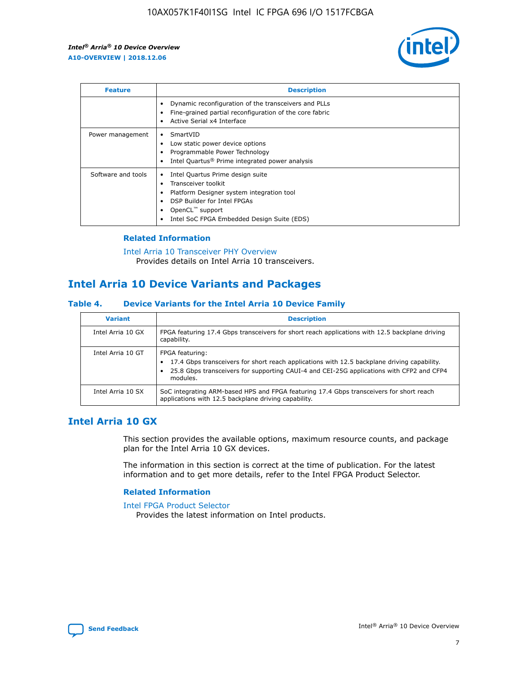

| <b>Feature</b>     | <b>Description</b>                                                                                                                                                                                               |
|--------------------|------------------------------------------------------------------------------------------------------------------------------------------------------------------------------------------------------------------|
|                    | Dynamic reconfiguration of the transceivers and PLLs<br>Fine-grained partial reconfiguration of the core fabric<br>Active Serial x4 Interface<br>$\bullet$                                                       |
| Power management   | SmartVID<br>Low static power device options<br>Programmable Power Technology<br>Intel Quartus <sup>®</sup> Prime integrated power analysis                                                                       |
| Software and tools | Intel Quartus Prime design suite<br>Transceiver toolkit<br>Platform Designer system integration tool<br>DSP Builder for Intel FPGAs<br>OpenCL <sup>™</sup> support<br>Intel SoC FPGA Embedded Design Suite (EDS) |

## **Related Information**

[Intel Arria 10 Transceiver PHY Overview](https://www.intel.com/content/www/us/en/programmable/documentation/nik1398707230472.html#nik1398706768037) Provides details on Intel Arria 10 transceivers.

# **Intel Arria 10 Device Variants and Packages**

#### **Table 4. Device Variants for the Intel Arria 10 Device Family**

| <b>Variant</b>    | <b>Description</b>                                                                                                                                                                                                     |
|-------------------|------------------------------------------------------------------------------------------------------------------------------------------------------------------------------------------------------------------------|
| Intel Arria 10 GX | FPGA featuring 17.4 Gbps transceivers for short reach applications with 12.5 backplane driving<br>capability.                                                                                                          |
| Intel Arria 10 GT | FPGA featuring:<br>17.4 Gbps transceivers for short reach applications with 12.5 backplane driving capability.<br>25.8 Gbps transceivers for supporting CAUI-4 and CEI-25G applications with CFP2 and CFP4<br>modules. |
| Intel Arria 10 SX | SoC integrating ARM-based HPS and FPGA featuring 17.4 Gbps transceivers for short reach<br>applications with 12.5 backplane driving capability.                                                                        |

# **Intel Arria 10 GX**

This section provides the available options, maximum resource counts, and package plan for the Intel Arria 10 GX devices.

The information in this section is correct at the time of publication. For the latest information and to get more details, refer to the Intel FPGA Product Selector.

#### **Related Information**

#### [Intel FPGA Product Selector](http://www.altera.com/products/selector/psg-selector.html) Provides the latest information on Intel products.

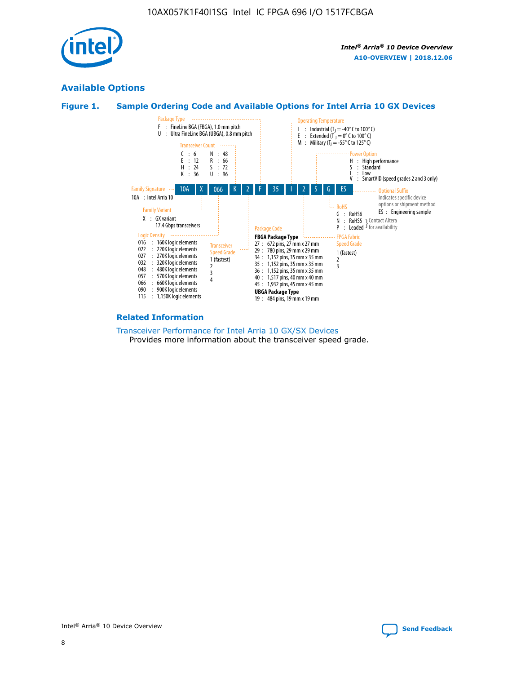

# **Available Options**





#### **Related Information**

[Transceiver Performance for Intel Arria 10 GX/SX Devices](https://www.intel.com/content/www/us/en/programmable/documentation/mcn1413182292568.html#mcn1413213965502) Provides more information about the transceiver speed grade.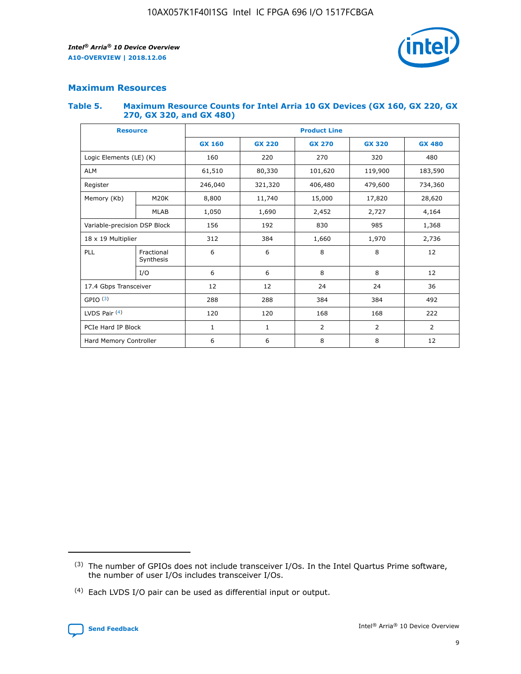

# **Maximum Resources**

#### **Table 5. Maximum Resource Counts for Intel Arria 10 GX Devices (GX 160, GX 220, GX 270, GX 320, and GX 480)**

| <b>Resource</b>              |                         | <b>Product Line</b> |                                                 |                |                |                |  |  |  |
|------------------------------|-------------------------|---------------------|-------------------------------------------------|----------------|----------------|----------------|--|--|--|
|                              |                         | <b>GX 160</b>       | <b>GX 220</b><br><b>GX 270</b><br><b>GX 320</b> |                |                | <b>GX 480</b>  |  |  |  |
| Logic Elements (LE) (K)      |                         | 160                 | 220                                             | 270            | 320            | 480            |  |  |  |
| <b>ALM</b>                   |                         | 61,510              | 80,330                                          | 101,620        | 119,900        | 183,590        |  |  |  |
| Register                     |                         | 246,040             | 479,600<br>321,320<br>406,480                   |                |                | 734,360        |  |  |  |
| Memory (Kb)                  | M <sub>20</sub> K       | 8,800               | 11,740<br>15,000                                |                | 17,820         | 28,620         |  |  |  |
|                              | <b>MLAB</b>             | 1,050               | 1,690                                           | 2,452          | 2,727          | 4,164          |  |  |  |
| Variable-precision DSP Block |                         | 156                 | 192                                             | 830            | 985            | 1,368          |  |  |  |
| 18 x 19 Multiplier           |                         | 312                 | 384                                             | 1,970<br>1,660 |                | 2,736          |  |  |  |
| PLL                          | Fractional<br>Synthesis | 6                   | 6                                               | 8              | 8              | 12             |  |  |  |
|                              | I/O                     | 6                   | 6                                               | 8              | 8              | 12             |  |  |  |
| 17.4 Gbps Transceiver        |                         | 12                  | 12                                              | 24             | 24             | 36             |  |  |  |
| GPIO <sup>(3)</sup>          |                         | 288                 | 288                                             | 384            | 384            |                |  |  |  |
| LVDS Pair $(4)$              |                         | 120                 | 120                                             | 168            | 168            | 222            |  |  |  |
| PCIe Hard IP Block           |                         | $\mathbf{1}$        | 1                                               | $\overline{2}$ | $\overline{2}$ | $\overline{2}$ |  |  |  |
| Hard Memory Controller       |                         | 6                   | 6                                               | 8              | 8              | 12             |  |  |  |

<sup>(4)</sup> Each LVDS I/O pair can be used as differential input or output.



<sup>(3)</sup> The number of GPIOs does not include transceiver I/Os. In the Intel Quartus Prime software, the number of user I/Os includes transceiver I/Os.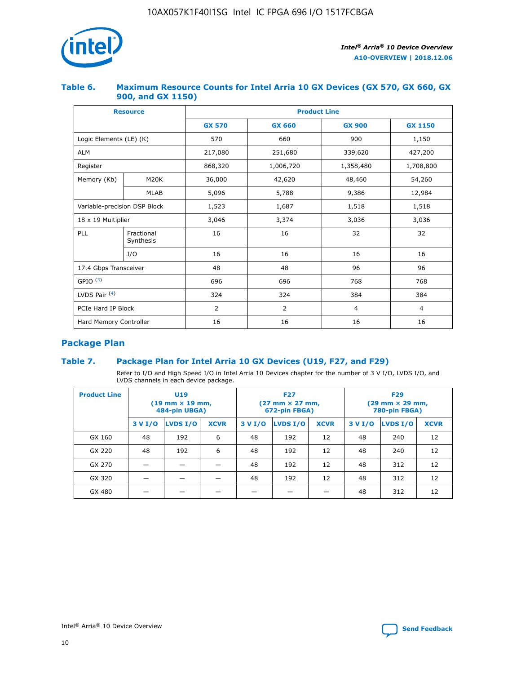

## **Table 6. Maximum Resource Counts for Intel Arria 10 GX Devices (GX 570, GX 660, GX 900, and GX 1150)**

|                              | <b>Resource</b>         | <b>Product Line</b> |                        |                |                |  |  |  |
|------------------------------|-------------------------|---------------------|------------------------|----------------|----------------|--|--|--|
|                              |                         | <b>GX 570</b>       | <b>GX 660</b>          | <b>GX 900</b>  | <b>GX 1150</b> |  |  |  |
| Logic Elements (LE) (K)      |                         | 570                 | 660                    | 900            | 1,150          |  |  |  |
| <b>ALM</b>                   |                         | 217,080             | 251,680                | 339,620        | 427,200        |  |  |  |
| Register                     |                         | 868,320             | 1,006,720<br>1,358,480 |                | 1,708,800      |  |  |  |
| Memory (Kb)                  | <b>M20K</b>             | 36,000              | 42,620                 | 48,460         | 54,260         |  |  |  |
|                              | <b>MLAB</b>             | 5,096               | 5,788                  | 9,386          | 12,984         |  |  |  |
| Variable-precision DSP Block |                         | 1,523               | 1,687                  | 1,518          | 1,518          |  |  |  |
|                              | 18 x 19 Multiplier      |                     | 3,374                  | 3,036          | 3,036          |  |  |  |
| PLL                          | Fractional<br>Synthesis | 16                  | 16                     | 32             | 32             |  |  |  |
|                              | I/O                     | 16                  | 16                     | 16             | 16             |  |  |  |
| 17.4 Gbps Transceiver        |                         | 48                  | 48<br>96               |                | 96             |  |  |  |
| GPIO <sup>(3)</sup>          |                         | 696                 | 696                    | 768            | 768            |  |  |  |
| LVDS Pair $(4)$              |                         | 324                 | 324                    | 384            | 384            |  |  |  |
| PCIe Hard IP Block           |                         | 2                   | $\overline{2}$         | $\overline{4}$ | $\overline{4}$ |  |  |  |
| Hard Memory Controller       |                         | 16                  | 16                     | 16             | 16             |  |  |  |

# **Package Plan**

# **Table 7. Package Plan for Intel Arria 10 GX Devices (U19, F27, and F29)**

Refer to I/O and High Speed I/O in Intel Arria 10 Devices chapter for the number of 3 V I/O, LVDS I/O, and LVDS channels in each device package.

| <b>Product Line</b> | U <sub>19</sub><br>$(19 \text{ mm} \times 19 \text{ mm})$<br>484-pin UBGA) |          |             |         | <b>F27</b><br>(27 mm × 27 mm,<br>672-pin FBGA) |             | <b>F29</b><br>(29 mm × 29 mm,<br>780-pin FBGA) |          |             |  |
|---------------------|----------------------------------------------------------------------------|----------|-------------|---------|------------------------------------------------|-------------|------------------------------------------------|----------|-------------|--|
|                     | 3 V I/O                                                                    | LVDS I/O | <b>XCVR</b> | 3 V I/O | LVDS I/O                                       | <b>XCVR</b> | 3 V I/O                                        | LVDS I/O | <b>XCVR</b> |  |
| GX 160              | 48                                                                         | 192      | 6           | 48      | 192                                            | 12          | 48                                             | 240      | 12          |  |
| GX 220              | 48                                                                         | 192      | 6           | 48      | 192                                            | 12          | 48                                             | 240      | 12          |  |
| GX 270              |                                                                            |          |             | 48      | 192                                            | 12          | 48                                             | 312      | 12          |  |
| GX 320              |                                                                            |          |             | 48      | 192                                            | 12          | 48                                             | 312      | 12          |  |
| GX 480              |                                                                            |          |             |         |                                                |             | 48                                             | 312      | 12          |  |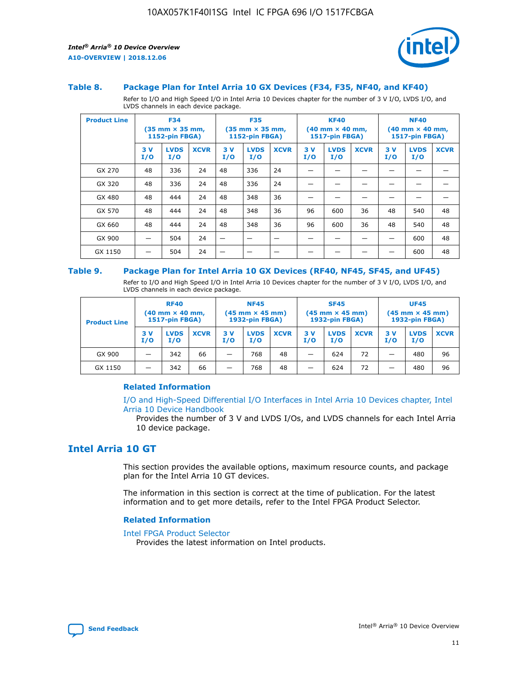

#### **Table 8. Package Plan for Intel Arria 10 GX Devices (F34, F35, NF40, and KF40)**

Refer to I/O and High Speed I/O in Intel Arria 10 Devices chapter for the number of 3 V I/O, LVDS I/O, and LVDS channels in each device package.

| <b>Product Line</b> | <b>F34</b><br>$(35 \text{ mm} \times 35 \text{ mm})$<br><b>1152-pin FBGA)</b> |                    | <b>F35</b><br>$(35 \text{ mm} \times 35 \text{ mm})$<br><b>1152-pin FBGA)</b> |           | <b>KF40</b><br>$(40$ mm $\times$ 40 mm,<br>1517-pin FBGA) |             |           | <b>NF40</b><br>$(40 \text{ mm} \times 40 \text{ mm})$<br>1517-pin FBGA) |             |           |                    |             |
|---------------------|-------------------------------------------------------------------------------|--------------------|-------------------------------------------------------------------------------|-----------|-----------------------------------------------------------|-------------|-----------|-------------------------------------------------------------------------|-------------|-----------|--------------------|-------------|
|                     | 3V<br>I/O                                                                     | <b>LVDS</b><br>I/O | <b>XCVR</b>                                                                   | 3V<br>I/O | <b>LVDS</b><br>I/O                                        | <b>XCVR</b> | 3V<br>I/O | <b>LVDS</b><br>I/O                                                      | <b>XCVR</b> | 3V<br>I/O | <b>LVDS</b><br>I/O | <b>XCVR</b> |
| GX 270              | 48                                                                            | 336                | 24                                                                            | 48        | 336                                                       | 24          |           |                                                                         |             |           |                    |             |
| GX 320              | 48                                                                            | 336                | 24                                                                            | 48        | 336                                                       | 24          |           |                                                                         |             |           |                    |             |
| GX 480              | 48                                                                            | 444                | 24                                                                            | 48        | 348                                                       | 36          |           |                                                                         |             |           |                    |             |
| GX 570              | 48                                                                            | 444                | 24                                                                            | 48        | 348                                                       | 36          | 96        | 600                                                                     | 36          | 48        | 540                | 48          |
| GX 660              | 48                                                                            | 444                | 24                                                                            | 48        | 348                                                       | 36          | 96        | 600                                                                     | 36          | 48        | 540                | 48          |
| GX 900              |                                                                               | 504                | 24                                                                            | –         |                                                           | -           |           |                                                                         |             |           | 600                | 48          |
| GX 1150             |                                                                               | 504                | 24                                                                            |           |                                                           |             |           |                                                                         |             |           | 600                | 48          |

#### **Table 9. Package Plan for Intel Arria 10 GX Devices (RF40, NF45, SF45, and UF45)**

Refer to I/O and High Speed I/O in Intel Arria 10 Devices chapter for the number of 3 V I/O, LVDS I/O, and LVDS channels in each device package.

| <b>Product Line</b> | <b>RF40</b><br>$(40$ mm $\times$ 40 mm,<br>1517-pin FBGA) |                    |             | <b>NF45</b><br>$(45 \text{ mm} \times 45 \text{ mm})$<br><b>1932-pin FBGA)</b> |                    |             | <b>SF45</b><br>$(45 \text{ mm} \times 45 \text{ mm})$<br><b>1932-pin FBGA)</b> |                    |             | <b>UF45</b><br>$(45 \text{ mm} \times 45 \text{ mm})$<br><b>1932-pin FBGA)</b> |                    |             |
|---------------------|-----------------------------------------------------------|--------------------|-------------|--------------------------------------------------------------------------------|--------------------|-------------|--------------------------------------------------------------------------------|--------------------|-------------|--------------------------------------------------------------------------------|--------------------|-------------|
|                     | 3V<br>I/O                                                 | <b>LVDS</b><br>I/O | <b>XCVR</b> | 3 V<br>I/O                                                                     | <b>LVDS</b><br>I/O | <b>XCVR</b> | 3 V<br>I/O                                                                     | <b>LVDS</b><br>I/O | <b>XCVR</b> | 3V<br>I/O                                                                      | <b>LVDS</b><br>I/O | <b>XCVR</b> |
| GX 900              |                                                           | 342                | 66          | _                                                                              | 768                | 48          |                                                                                | 624                | 72          |                                                                                | 480                | 96          |
| GX 1150             |                                                           | 342                | 66          | _                                                                              | 768                | 48          |                                                                                | 624                | 72          |                                                                                | 480                | 96          |

### **Related Information**

[I/O and High-Speed Differential I/O Interfaces in Intel Arria 10 Devices chapter, Intel](https://www.intel.com/content/www/us/en/programmable/documentation/sam1403482614086.html#sam1403482030321) [Arria 10 Device Handbook](https://www.intel.com/content/www/us/en/programmable/documentation/sam1403482614086.html#sam1403482030321)

Provides the number of 3 V and LVDS I/Os, and LVDS channels for each Intel Arria 10 device package.

# **Intel Arria 10 GT**

This section provides the available options, maximum resource counts, and package plan for the Intel Arria 10 GT devices.

The information in this section is correct at the time of publication. For the latest information and to get more details, refer to the Intel FPGA Product Selector.

#### **Related Information**

#### [Intel FPGA Product Selector](http://www.altera.com/products/selector/psg-selector.html)

Provides the latest information on Intel products.

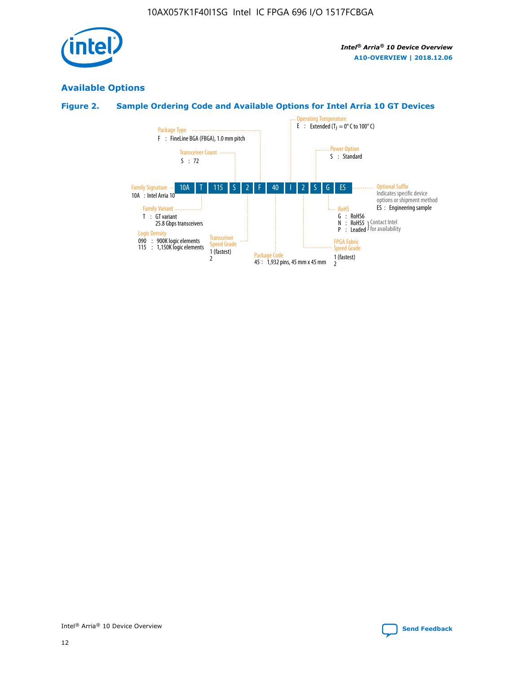

# **Available Options**

# **Figure 2. Sample Ordering Code and Available Options for Intel Arria 10 GT Devices**

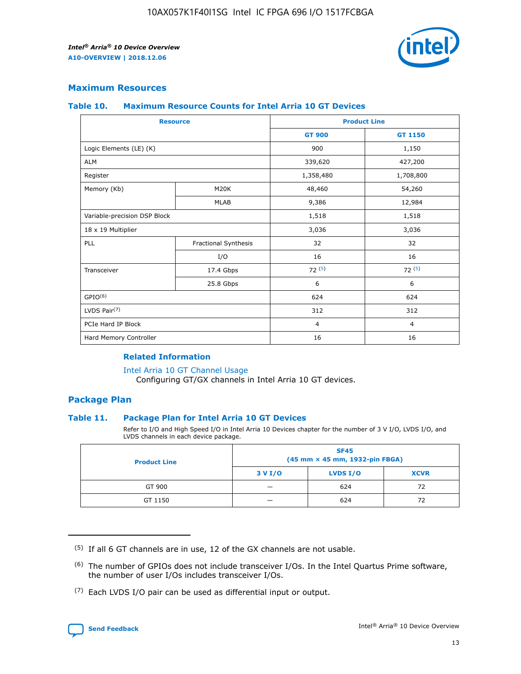

## **Maximum Resources**

#### **Table 10. Maximum Resource Counts for Intel Arria 10 GT Devices**

| <b>Resource</b>              |                      | <b>Product Line</b> |                |  |
|------------------------------|----------------------|---------------------|----------------|--|
|                              |                      | <b>GT 900</b>       | <b>GT 1150</b> |  |
| Logic Elements (LE) (K)      |                      | 900                 | 1,150          |  |
| <b>ALM</b>                   |                      | 339,620             | 427,200        |  |
| Register                     |                      | 1,358,480           | 1,708,800      |  |
| Memory (Kb)                  | M20K                 | 48,460              | 54,260         |  |
|                              | <b>MLAB</b>          | 9,386               | 12,984         |  |
| Variable-precision DSP Block |                      | 1,518               | 1,518          |  |
| 18 x 19 Multiplier           |                      | 3,036               | 3,036          |  |
| PLL                          | Fractional Synthesis | 32                  | 32             |  |
|                              | I/O                  | 16                  | 16             |  |
| Transceiver                  | 17.4 Gbps            | 72(5)               | 72(5)          |  |
|                              | 25.8 Gbps            | 6                   | 6              |  |
| GPIO <sup>(6)</sup>          |                      | 624                 | 624            |  |
| LVDS Pair $(7)$              |                      | 312                 | 312            |  |
| PCIe Hard IP Block           |                      | $\overline{4}$      | $\overline{4}$ |  |
| Hard Memory Controller       |                      | 16                  | 16             |  |

### **Related Information**

#### [Intel Arria 10 GT Channel Usage](https://www.intel.com/content/www/us/en/programmable/documentation/nik1398707230472.html#nik1398707008178)

Configuring GT/GX channels in Intel Arria 10 GT devices.

## **Package Plan**

#### **Table 11. Package Plan for Intel Arria 10 GT Devices**

Refer to I/O and High Speed I/O in Intel Arria 10 Devices chapter for the number of 3 V I/O, LVDS I/O, and LVDS channels in each device package.

| <b>Product Line</b> | <b>SF45</b><br>(45 mm × 45 mm, 1932-pin FBGA) |                 |             |  |  |  |
|---------------------|-----------------------------------------------|-----------------|-------------|--|--|--|
|                     | 3 V I/O                                       | <b>LVDS I/O</b> | <b>XCVR</b> |  |  |  |
| GT 900              |                                               | 624             | 72          |  |  |  |
| GT 1150             |                                               | 624             | 72          |  |  |  |

<sup>(7)</sup> Each LVDS I/O pair can be used as differential input or output.



 $(5)$  If all 6 GT channels are in use, 12 of the GX channels are not usable.

<sup>(6)</sup> The number of GPIOs does not include transceiver I/Os. In the Intel Quartus Prime software, the number of user I/Os includes transceiver I/Os.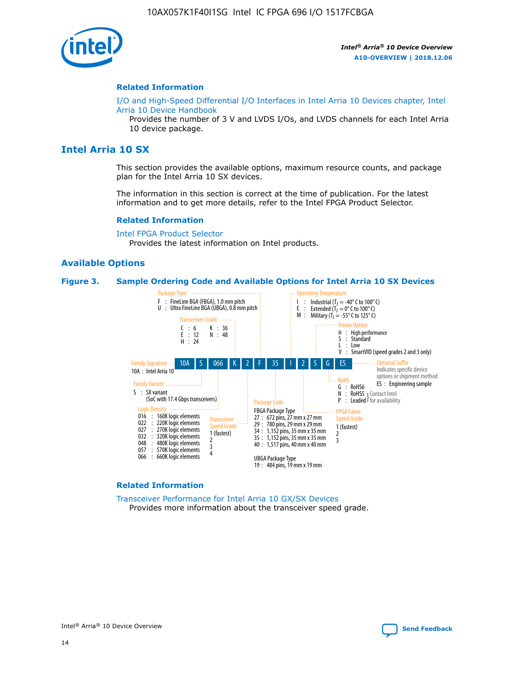

#### **Related Information**

[I/O and High-Speed Differential I/O Interfaces in Intel Arria 10 Devices chapter, Intel](https://www.intel.com/content/www/us/en/programmable/documentation/sam1403482614086.html#sam1403482030321) [Arria 10 Device Handbook](https://www.intel.com/content/www/us/en/programmable/documentation/sam1403482614086.html#sam1403482030321)

Provides the number of 3 V and LVDS I/Os, and LVDS channels for each Intel Arria 10 device package.

# **Intel Arria 10 SX**

This section provides the available options, maximum resource counts, and package plan for the Intel Arria 10 SX devices.

The information in this section is correct at the time of publication. For the latest information and to get more details, refer to the Intel FPGA Product Selector.

#### **Related Information**

[Intel FPGA Product Selector](http://www.altera.com/products/selector/psg-selector.html) Provides the latest information on Intel products.

#### **Available Options**

#### **Figure 3. Sample Ordering Code and Available Options for Intel Arria 10 SX Devices**



#### **Related Information**

[Transceiver Performance for Intel Arria 10 GX/SX Devices](https://www.intel.com/content/www/us/en/programmable/documentation/mcn1413182292568.html#mcn1413213965502) Provides more information about the transceiver speed grade.



Intel® Arria® 10 Device Overview **[Send Feedback](mailto:FPGAtechdocfeedback@intel.com?subject=Feedback%20on%20Intel%20Arria%2010%20Device%20Overview%20(A10-OVERVIEW%202018.12.06)&body=We%20appreciate%20your%20feedback.%20In%20your%20comments,%20also%20specify%20the%20page%20number%20or%20paragraph.%20Thank%20you.)**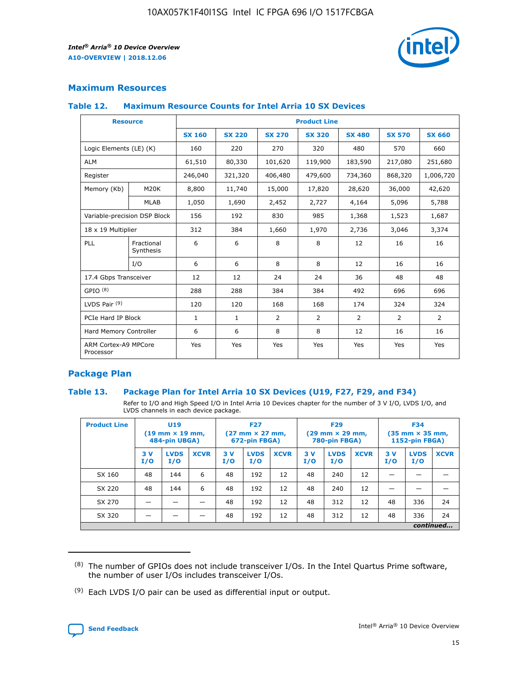

# **Maximum Resources**

#### **Table 12. Maximum Resource Counts for Intel Arria 10 SX Devices**

|                                   | <b>Resource</b>         | <b>Product Line</b> |               |                |                |                |                |                |  |  |  |
|-----------------------------------|-------------------------|---------------------|---------------|----------------|----------------|----------------|----------------|----------------|--|--|--|
|                                   |                         | <b>SX 160</b>       | <b>SX 220</b> | <b>SX 270</b>  | <b>SX 320</b>  | <b>SX 480</b>  | <b>SX 570</b>  | <b>SX 660</b>  |  |  |  |
| Logic Elements (LE) (K)           |                         | 160                 | 220           | 270            | 320            | 480            | 570            | 660            |  |  |  |
| <b>ALM</b>                        |                         | 61,510              | 80,330        | 101,620        | 119,900        | 183,590        | 217,080        | 251,680        |  |  |  |
| Register                          |                         | 246,040             | 321,320       | 406,480        | 479,600        | 734,360        | 868,320        | 1,006,720      |  |  |  |
| Memory (Kb)                       | M <sub>20</sub> K       | 8,800               | 11,740        | 15,000         | 17,820         | 28,620         | 36,000         | 42,620         |  |  |  |
|                                   | <b>MLAB</b>             | 1,050               | 1,690         | 2,452          | 2,727          | 4,164          | 5,096          | 5,788          |  |  |  |
| Variable-precision DSP Block      |                         | 156                 | 192           | 830            | 985            | 1,368          | 1,523          | 1,687          |  |  |  |
| 18 x 19 Multiplier                |                         | 312                 | 384           | 1,660          | 1,970          | 2,736          | 3,046          | 3,374          |  |  |  |
| <b>PLL</b>                        | Fractional<br>Synthesis | 6                   | 6             | 8              | 8              | 12             | 16             | 16             |  |  |  |
|                                   | I/O                     | 6                   | 6             | 8              | 8              | 12             | 16             | 16             |  |  |  |
| 17.4 Gbps Transceiver             |                         | 12                  | 12            | 24             | 24             | 36             | 48             | 48             |  |  |  |
| GPIO <sup>(8)</sup>               |                         | 288                 | 288           | 384            | 384            | 492            | 696            | 696            |  |  |  |
| LVDS Pair $(9)$                   |                         | 120                 | 120           | 168            | 168            | 174            | 324            | 324            |  |  |  |
| PCIe Hard IP Block                |                         | $\mathbf{1}$        | $\mathbf{1}$  | $\overline{2}$ | $\overline{2}$ | $\overline{2}$ | $\overline{2}$ | $\overline{2}$ |  |  |  |
| Hard Memory Controller            |                         | 6                   | 6             | 8              | 8              | 12             | 16             | 16             |  |  |  |
| ARM Cortex-A9 MPCore<br>Processor |                         | Yes                 | Yes           | Yes            | Yes            | Yes            | Yes            | Yes            |  |  |  |

# **Package Plan**

#### **Table 13. Package Plan for Intel Arria 10 SX Devices (U19, F27, F29, and F34)**

Refer to I/O and High Speed I/O in Intel Arria 10 Devices chapter for the number of 3 V I/O, LVDS I/O, and LVDS channels in each device package.

| <b>Product Line</b> | <b>U19</b><br>$(19 \text{ mm} \times 19 \text{ mm})$<br>484-pin UBGA) |                    |             | <b>F27</b><br>$(27 \text{ mm} \times 27 \text{ mm})$<br>672-pin FBGA) |                    | <b>F29</b><br>$(29 \text{ mm} \times 29 \text{ mm})$<br>780-pin FBGA) |           |                    | <b>F34</b><br>$(35 \text{ mm} \times 35 \text{ mm})$<br><b>1152-pin FBGA)</b> |           |                    |             |
|---------------------|-----------------------------------------------------------------------|--------------------|-------------|-----------------------------------------------------------------------|--------------------|-----------------------------------------------------------------------|-----------|--------------------|-------------------------------------------------------------------------------|-----------|--------------------|-------------|
|                     | 3V<br>I/O                                                             | <b>LVDS</b><br>I/O | <b>XCVR</b> | 3V<br>I/O                                                             | <b>LVDS</b><br>I/O | <b>XCVR</b>                                                           | 3V<br>I/O | <b>LVDS</b><br>I/O | <b>XCVR</b>                                                                   | 3V<br>I/O | <b>LVDS</b><br>I/O | <b>XCVR</b> |
| SX 160              | 48                                                                    | 144                | 6           | 48                                                                    | 192                | 12                                                                    | 48        | 240                | 12                                                                            | -         |                    |             |
| SX 220              | 48                                                                    | 144                | 6           | 48                                                                    | 192                | 12                                                                    | 48        | 240                | 12                                                                            |           |                    |             |
| SX 270              |                                                                       |                    |             | 48                                                                    | 192                | 12                                                                    | 48        | 312                | 12                                                                            | 48        | 336                | 24          |
| SX 320              |                                                                       |                    |             | 48                                                                    | 192                | 12                                                                    | 48        | 312                | 12                                                                            | 48        | 336                | 24          |
|                     | continued                                                             |                    |             |                                                                       |                    |                                                                       |           |                    |                                                                               |           |                    |             |

 $(8)$  The number of GPIOs does not include transceiver I/Os. In the Intel Quartus Prime software, the number of user I/Os includes transceiver I/Os.

 $(9)$  Each LVDS I/O pair can be used as differential input or output.

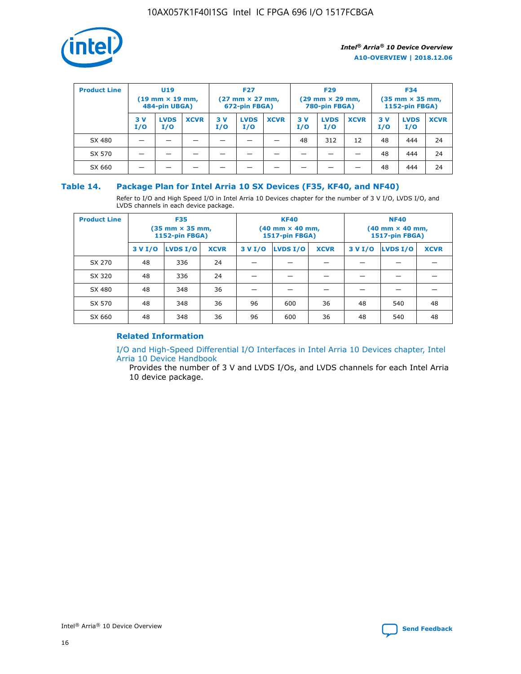

| <b>Product Line</b> | U <sub>19</sub><br>$(19 \text{ mm} \times 19 \text{ mm})$<br>484-pin UBGA) |                    | <b>F27</b><br>$(27 \text{ mm} \times 27 \text{ mm})$<br>672-pin FBGA) |            | <b>F29</b><br>$(29 \text{ mm} \times 29 \text{ mm})$<br>780-pin FBGA) |             |           | <b>F34</b><br>$(35 \text{ mm} \times 35 \text{ mm})$<br><b>1152-pin FBGA)</b> |             |           |                    |             |
|---------------------|----------------------------------------------------------------------------|--------------------|-----------------------------------------------------------------------|------------|-----------------------------------------------------------------------|-------------|-----------|-------------------------------------------------------------------------------|-------------|-----------|--------------------|-------------|
|                     | 3 V<br>I/O                                                                 | <b>LVDS</b><br>I/O | <b>XCVR</b>                                                           | 3 V<br>I/O | <b>LVDS</b><br>I/O                                                    | <b>XCVR</b> | 3V<br>I/O | <b>LVDS</b><br>I/O                                                            | <b>XCVR</b> | 3V<br>I/O | <b>LVDS</b><br>I/O | <b>XCVR</b> |
| SX 480              |                                                                            |                    |                                                                       |            |                                                                       |             | 48        | 312                                                                           | 12          | 48        | 444                | 24          |
| SX 570              |                                                                            |                    |                                                                       |            |                                                                       |             |           |                                                                               |             | 48        | 444                | 24          |
| SX 660              |                                                                            |                    |                                                                       |            |                                                                       |             |           |                                                                               |             | 48        | 444                | 24          |

## **Table 14. Package Plan for Intel Arria 10 SX Devices (F35, KF40, and NF40)**

Refer to I/O and High Speed I/O in Intel Arria 10 Devices chapter for the number of 3 V I/O, LVDS I/O, and LVDS channels in each device package.

| <b>Product Line</b> | <b>F35</b><br>$(35$ mm $\times$ 35 mm,<br><b>1152-pin FBGA)</b> |          |             |                                           | <b>KF40</b><br>(40 mm × 40 mm,<br>1517-pin FBGA) |    | <b>NF40</b><br>(40 mm × 40 mm,<br>1517-pin FBGA) |          |             |  |
|---------------------|-----------------------------------------------------------------|----------|-------------|-------------------------------------------|--------------------------------------------------|----|--------------------------------------------------|----------|-------------|--|
|                     | 3 V I/O                                                         | LVDS I/O | <b>XCVR</b> | <b>LVDS I/O</b><br><b>XCVR</b><br>3 V I/O |                                                  |    | 3 V I/O                                          | LVDS I/O | <b>XCVR</b> |  |
| SX 270              | 48                                                              | 336      | 24          |                                           |                                                  |    |                                                  |          |             |  |
| SX 320              | 48                                                              | 336      | 24          |                                           |                                                  |    |                                                  |          |             |  |
| SX 480              | 48                                                              | 348      | 36          |                                           |                                                  |    |                                                  |          |             |  |
| SX 570              | 48                                                              | 348      | 36          | 96                                        | 600                                              | 36 | 48                                               | 540      | 48          |  |
| SX 660              | 48                                                              | 348      | 36          | 96                                        | 600                                              | 36 | 48                                               | 540      | 48          |  |

# **Related Information**

[I/O and High-Speed Differential I/O Interfaces in Intel Arria 10 Devices chapter, Intel](https://www.intel.com/content/www/us/en/programmable/documentation/sam1403482614086.html#sam1403482030321) [Arria 10 Device Handbook](https://www.intel.com/content/www/us/en/programmable/documentation/sam1403482614086.html#sam1403482030321)

Provides the number of 3 V and LVDS I/Os, and LVDS channels for each Intel Arria 10 device package.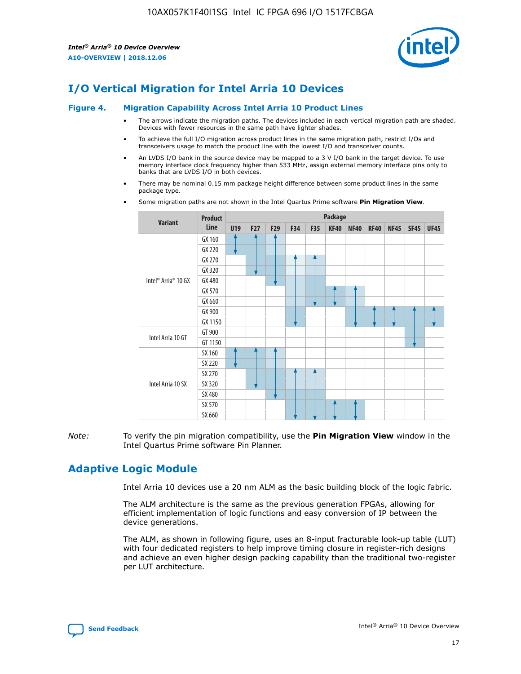

# **I/O Vertical Migration for Intel Arria 10 Devices**

#### **Figure 4. Migration Capability Across Intel Arria 10 Product Lines**

- The arrows indicate the migration paths. The devices included in each vertical migration path are shaded. Devices with fewer resources in the same path have lighter shades.
- To achieve the full I/O migration across product lines in the same migration path, restrict I/Os and transceivers usage to match the product line with the lowest I/O and transceiver counts.
- An LVDS I/O bank in the source device may be mapped to a 3 V I/O bank in the target device. To use memory interface clock frequency higher than 533 MHz, assign external memory interface pins only to banks that are LVDS I/O in both devices.
- There may be nominal 0.15 mm package height difference between some product lines in the same package type.
	- **Variant Product Line Package U19 F27 F29 F34 F35 KF40 NF40 RF40 NF45 SF45 UF45** Intel® Arria® 10 GX GX 160 GX 220 GX 270 GX 320 GX 480 GX 570 GX 660 GX 900 GX 1150 Intel Arria 10 GT GT 900 GT 1150 Intel Arria 10 SX SX 160 SX 220 SX 270 SX 320 SX 480 SX 570 SX 660
- Some migration paths are not shown in the Intel Quartus Prime software **Pin Migration View**.

*Note:* To verify the pin migration compatibility, use the **Pin Migration View** window in the Intel Quartus Prime software Pin Planner.

# **Adaptive Logic Module**

Intel Arria 10 devices use a 20 nm ALM as the basic building block of the logic fabric.

The ALM architecture is the same as the previous generation FPGAs, allowing for efficient implementation of logic functions and easy conversion of IP between the device generations.

The ALM, as shown in following figure, uses an 8-input fracturable look-up table (LUT) with four dedicated registers to help improve timing closure in register-rich designs and achieve an even higher design packing capability than the traditional two-register per LUT architecture.

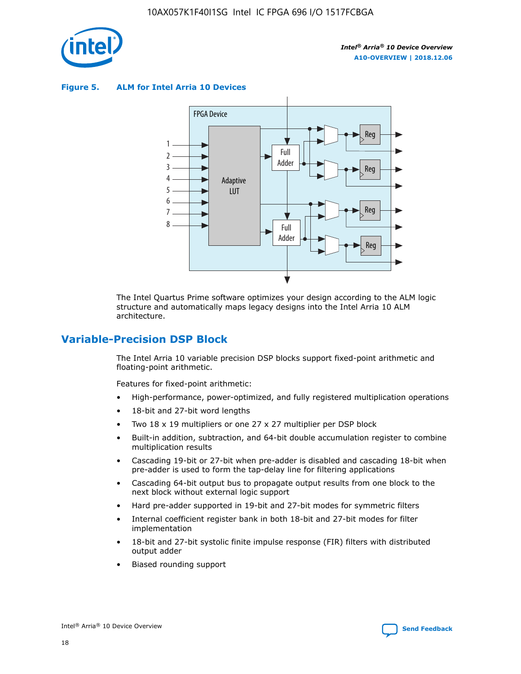

**Figure 5. ALM for Intel Arria 10 Devices**



The Intel Quartus Prime software optimizes your design according to the ALM logic structure and automatically maps legacy designs into the Intel Arria 10 ALM architecture.

# **Variable-Precision DSP Block**

The Intel Arria 10 variable precision DSP blocks support fixed-point arithmetic and floating-point arithmetic.

Features for fixed-point arithmetic:

- High-performance, power-optimized, and fully registered multiplication operations
- 18-bit and 27-bit word lengths
- Two 18 x 19 multipliers or one 27 x 27 multiplier per DSP block
- Built-in addition, subtraction, and 64-bit double accumulation register to combine multiplication results
- Cascading 19-bit or 27-bit when pre-adder is disabled and cascading 18-bit when pre-adder is used to form the tap-delay line for filtering applications
- Cascading 64-bit output bus to propagate output results from one block to the next block without external logic support
- Hard pre-adder supported in 19-bit and 27-bit modes for symmetric filters
- Internal coefficient register bank in both 18-bit and 27-bit modes for filter implementation
- 18-bit and 27-bit systolic finite impulse response (FIR) filters with distributed output adder
- Biased rounding support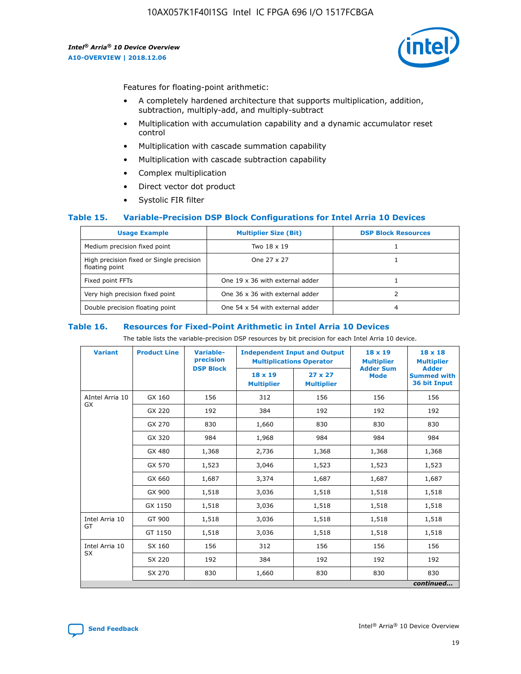

Features for floating-point arithmetic:

- A completely hardened architecture that supports multiplication, addition, subtraction, multiply-add, and multiply-subtract
- Multiplication with accumulation capability and a dynamic accumulator reset control
- Multiplication with cascade summation capability
- Multiplication with cascade subtraction capability
- Complex multiplication
- Direct vector dot product
- Systolic FIR filter

#### **Table 15. Variable-Precision DSP Block Configurations for Intel Arria 10 Devices**

| <b>Usage Example</b>                                       | <b>Multiplier Size (Bit)</b>    | <b>DSP Block Resources</b> |
|------------------------------------------------------------|---------------------------------|----------------------------|
| Medium precision fixed point                               | Two 18 x 19                     |                            |
| High precision fixed or Single precision<br>floating point | One 27 x 27                     |                            |
| Fixed point FFTs                                           | One 19 x 36 with external adder |                            |
| Very high precision fixed point                            | One 36 x 36 with external adder |                            |
| Double precision floating point                            | One 54 x 54 with external adder | 4                          |

#### **Table 16. Resources for Fixed-Point Arithmetic in Intel Arria 10 Devices**

The table lists the variable-precision DSP resources by bit precision for each Intel Arria 10 device.

| <b>Variant</b>  | <b>Product Line</b> | Variable-<br>precision | <b>Independent Input and Output</b><br><b>Multiplications Operator</b> |                                     | $18 \times 19$<br><b>Multiplier</b><br><b>Adder Sum</b> | $18 \times 18$<br><b>Multiplier</b>                |
|-----------------|---------------------|------------------------|------------------------------------------------------------------------|-------------------------------------|---------------------------------------------------------|----------------------------------------------------|
|                 |                     | <b>DSP Block</b>       | $18 \times 19$<br><b>Multiplier</b>                                    | $27 \times 27$<br><b>Multiplier</b> | <b>Mode</b>                                             | <b>Adder</b><br><b>Summed with</b><br>36 bit Input |
| AIntel Arria 10 | GX 160              | 156                    | 312                                                                    | 156                                 | 156                                                     | 156                                                |
| <b>GX</b>       | GX 220              | 192                    | 384                                                                    | 192                                 | 192                                                     | 192                                                |
|                 | GX 270              | 830                    | 1,660                                                                  | 830                                 | 830                                                     | 830                                                |
|                 | GX 320              | 984                    | 1,968                                                                  | 984                                 | 984                                                     | 984                                                |
|                 | GX 480              | 1,368                  | 2,736                                                                  | 1,368                               | 1,368                                                   | 1,368                                              |
|                 | GX 570              | 1,523                  | 3,046                                                                  | 1,523                               | 1,523                                                   | 1,523                                              |
|                 | GX 660              | 1,687                  | 3,374                                                                  | 1,687                               | 1,687                                                   | 1,687                                              |
|                 | GX 900              | 1,518                  | 3,036                                                                  | 1,518                               | 1,518                                                   | 1,518                                              |
|                 | GX 1150             | 1,518                  | 3,036                                                                  | 1,518                               | 1,518                                                   | 1,518                                              |
| Intel Arria 10  | GT 900              | 1,518                  | 3,036                                                                  | 1,518                               | 1,518                                                   | 1,518                                              |
| GT              | GT 1150             | 1,518                  | 3,036                                                                  | 1,518                               | 1,518                                                   | 1,518                                              |
| Intel Arria 10  | SX 160              | 156                    | 312                                                                    | 156                                 | 156                                                     | 156                                                |
| <b>SX</b>       | SX 220              | 192                    | 384                                                                    | 192                                 | 192                                                     | 192                                                |
|                 | SX 270              | 830                    | 1,660                                                                  | 830                                 | 830                                                     | 830                                                |
|                 |                     |                        |                                                                        |                                     |                                                         | continued                                          |

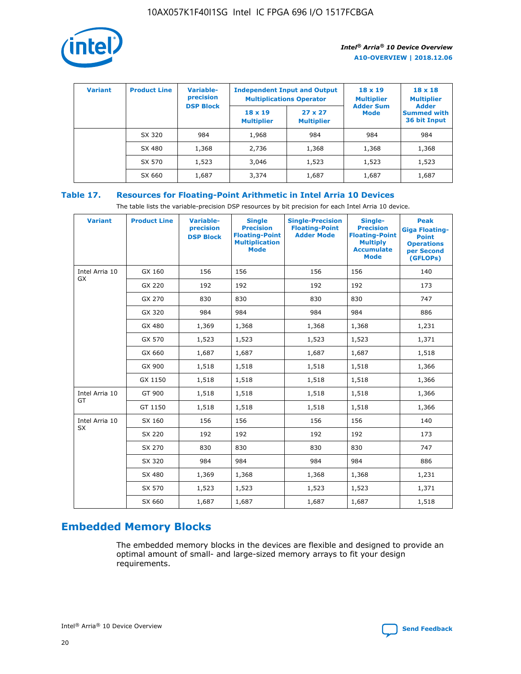

| <b>Variant</b> | <b>Product Line</b> | <b>Variable-</b><br>precision |                                     | <b>Independent Input and Output</b><br><b>Multiplications Operator</b> | $18 \times 19$<br><b>Multiplier</b> | $18 \times 18$<br><b>Multiplier</b><br><b>Adder</b> |  |
|----------------|---------------------|-------------------------------|-------------------------------------|------------------------------------------------------------------------|-------------------------------------|-----------------------------------------------------|--|
|                |                     | <b>DSP Block</b>              | $18 \times 19$<br><b>Multiplier</b> | $27 \times 27$<br><b>Multiplier</b>                                    | <b>Adder Sum</b><br><b>Mode</b>     | <b>Summed with</b><br>36 bit Input                  |  |
|                | SX 320              | 984                           | 1,968                               | 984                                                                    | 984                                 | 984                                                 |  |
|                | SX 480              | 1,368                         | 2,736                               | 1,368                                                                  | 1,368                               | 1,368                                               |  |
|                | SX 570              | 1,523                         | 3,046                               | 1,523                                                                  | 1,523                               | 1,523                                               |  |
|                | SX 660              | 1,687                         | 3,374                               | 1,687                                                                  | 1,687                               | 1,687                                               |  |

# **Table 17. Resources for Floating-Point Arithmetic in Intel Arria 10 Devices**

The table lists the variable-precision DSP resources by bit precision for each Intel Arria 10 device.

| <b>Variant</b>              | <b>Product Line</b> | <b>Variable-</b><br>precision<br><b>DSP Block</b> | <b>Single</b><br><b>Precision</b><br><b>Floating-Point</b><br><b>Multiplication</b><br><b>Mode</b> | <b>Single-Precision</b><br><b>Floating-Point</b><br><b>Adder Mode</b> | Single-<br><b>Precision</b><br><b>Floating-Point</b><br><b>Multiply</b><br><b>Accumulate</b><br><b>Mode</b> | <b>Peak</b><br><b>Giga Floating-</b><br><b>Point</b><br><b>Operations</b><br>per Second<br>(GFLOPs) |
|-----------------------------|---------------------|---------------------------------------------------|----------------------------------------------------------------------------------------------------|-----------------------------------------------------------------------|-------------------------------------------------------------------------------------------------------------|-----------------------------------------------------------------------------------------------------|
| Intel Arria 10<br>GX        | GX 160              | 156                                               | 156                                                                                                | 156                                                                   | 156                                                                                                         | 140                                                                                                 |
|                             | GX 220              | 192                                               | 192                                                                                                | 192                                                                   | 192                                                                                                         | 173                                                                                                 |
|                             | GX 270              | 830                                               | 830                                                                                                | 830                                                                   | 830                                                                                                         | 747                                                                                                 |
|                             | GX 320              | 984                                               | 984                                                                                                | 984                                                                   | 984                                                                                                         | 886                                                                                                 |
|                             | GX 480              | 1,369                                             | 1,368                                                                                              | 1,368                                                                 | 1,368                                                                                                       | 1,231                                                                                               |
|                             | GX 570              | 1,523                                             | 1,523                                                                                              | 1,523                                                                 | 1,523                                                                                                       | 1,371                                                                                               |
|                             | GX 660              | 1,687                                             | 1,687                                                                                              | 1,687                                                                 | 1,687                                                                                                       | 1,518                                                                                               |
|                             | GX 900              | 1,518                                             | 1,518                                                                                              | 1,518                                                                 | 1,518                                                                                                       | 1,366                                                                                               |
|                             | GX 1150             | 1,518                                             | 1,518                                                                                              | 1,518                                                                 | 1,518                                                                                                       | 1,366                                                                                               |
| Intel Arria 10              | GT 900              | 1,518                                             | 1,518                                                                                              | 1,518                                                                 | 1,518                                                                                                       | 1,366                                                                                               |
| GT                          | GT 1150             | 1,518                                             | 1,518                                                                                              | 1,518                                                                 | 1,518                                                                                                       | 1,366                                                                                               |
| Intel Arria 10<br><b>SX</b> | SX 160              | 156                                               | 156                                                                                                | 156                                                                   | 156                                                                                                         | 140                                                                                                 |
|                             | SX 220              | 192                                               | 192                                                                                                | 192                                                                   | 192                                                                                                         | 173                                                                                                 |
|                             | SX 270              | 830                                               | 830                                                                                                | 830                                                                   | 830                                                                                                         | 747                                                                                                 |
|                             | SX 320              | 984                                               | 984                                                                                                | 984                                                                   | 984                                                                                                         | 886                                                                                                 |
|                             | SX 480              | 1,369                                             | 1,368                                                                                              | 1,368                                                                 | 1,368                                                                                                       | 1,231                                                                                               |
|                             | SX 570              | 1,523                                             | 1,523                                                                                              | 1,523                                                                 | 1,523                                                                                                       | 1,371                                                                                               |
|                             | SX 660              | 1,687                                             | 1,687                                                                                              | 1,687                                                                 | 1,687                                                                                                       | 1,518                                                                                               |

# **Embedded Memory Blocks**

The embedded memory blocks in the devices are flexible and designed to provide an optimal amount of small- and large-sized memory arrays to fit your design requirements.

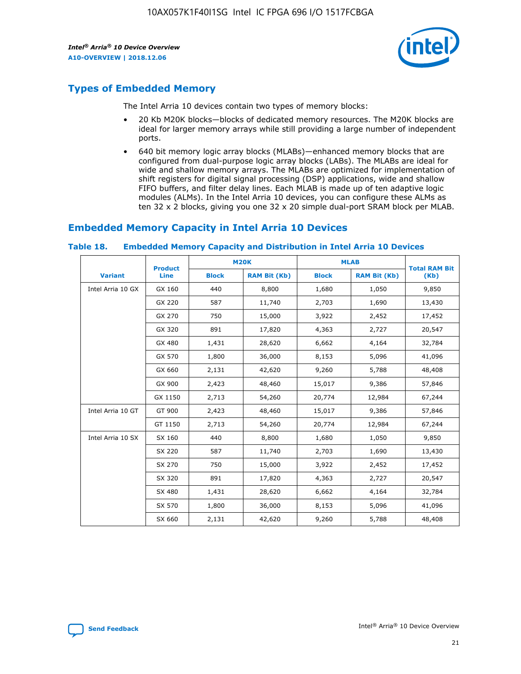

# **Types of Embedded Memory**

The Intel Arria 10 devices contain two types of memory blocks:

- 20 Kb M20K blocks—blocks of dedicated memory resources. The M20K blocks are ideal for larger memory arrays while still providing a large number of independent ports.
- 640 bit memory logic array blocks (MLABs)—enhanced memory blocks that are configured from dual-purpose logic array blocks (LABs). The MLABs are ideal for wide and shallow memory arrays. The MLABs are optimized for implementation of shift registers for digital signal processing (DSP) applications, wide and shallow FIFO buffers, and filter delay lines. Each MLAB is made up of ten adaptive logic modules (ALMs). In the Intel Arria 10 devices, you can configure these ALMs as ten 32 x 2 blocks, giving you one 32 x 20 simple dual-port SRAM block per MLAB.

# **Embedded Memory Capacity in Intel Arria 10 Devices**

|                   | <b>Product</b> |              | <b>M20K</b>         | <b>MLAB</b>  |                     | <b>Total RAM Bit</b> |
|-------------------|----------------|--------------|---------------------|--------------|---------------------|----------------------|
| <b>Variant</b>    | Line           | <b>Block</b> | <b>RAM Bit (Kb)</b> | <b>Block</b> | <b>RAM Bit (Kb)</b> | (Kb)                 |
| Intel Arria 10 GX | GX 160         | 440          | 8,800               | 1,680        | 1,050               | 9,850                |
|                   | GX 220         | 587          | 11,740              | 2,703        | 1,690               | 13,430               |
|                   | GX 270         | 750          | 15,000              | 3,922        | 2,452               | 17,452               |
|                   | GX 320         | 891          | 17,820              | 4,363        | 2,727               | 20,547               |
|                   | GX 480         | 1,431        | 28,620              | 6,662        | 4,164               | 32,784               |
|                   | GX 570         | 1,800        | 36,000              | 8,153        | 5,096               | 41,096               |
|                   | GX 660         | 2,131        | 42,620              | 9,260        | 5,788               | 48,408               |
|                   | GX 900         | 2,423        | 48,460              | 15,017       | 9,386               | 57,846               |
|                   | GX 1150        | 2,713        | 54,260              | 20,774       | 12,984              | 67,244               |
| Intel Arria 10 GT | GT 900         | 2,423        | 48,460              | 15,017       | 9,386               | 57,846               |
|                   | GT 1150        | 2,713        | 54,260              | 20,774       | 12,984              | 67,244               |
| Intel Arria 10 SX | SX 160         | 440          | 8,800               | 1,680        | 1,050               | 9,850                |
|                   | SX 220         | 587          | 11,740              | 2,703        | 1,690               | 13,430               |
|                   | SX 270         | 750          | 15,000              | 3,922        | 2,452               | 17,452               |
|                   | SX 320         | 891          | 17,820              | 4,363        | 2,727               | 20,547               |
|                   | SX 480         | 1,431        | 28,620              | 6,662        | 4,164               | 32,784               |
|                   | SX 570         | 1,800        | 36,000              | 8,153        | 5,096               | 41,096               |
|                   | SX 660         | 2,131        | 42,620              | 9,260        | 5,788               | 48,408               |

#### **Table 18. Embedded Memory Capacity and Distribution in Intel Arria 10 Devices**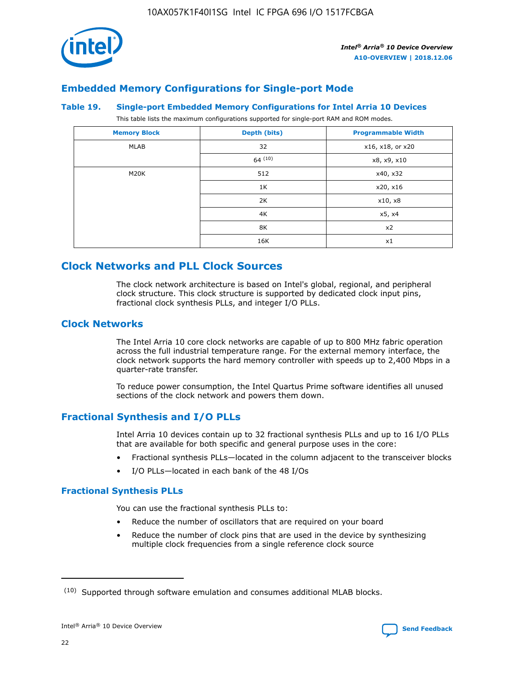

# **Embedded Memory Configurations for Single-port Mode**

#### **Table 19. Single-port Embedded Memory Configurations for Intel Arria 10 Devices**

This table lists the maximum configurations supported for single-port RAM and ROM modes.

| <b>Memory Block</b> | Depth (bits) | <b>Programmable Width</b> |
|---------------------|--------------|---------------------------|
| MLAB                | 32           | x16, x18, or x20          |
|                     | 64(10)       | x8, x9, x10               |
| M20K                | 512          | x40, x32                  |
|                     | 1K           | x20, x16                  |
|                     | 2K           | x10, x8                   |
|                     | 4K           | x5, x4                    |
|                     | 8K           | x2                        |
|                     | 16K          | x1                        |

# **Clock Networks and PLL Clock Sources**

The clock network architecture is based on Intel's global, regional, and peripheral clock structure. This clock structure is supported by dedicated clock input pins, fractional clock synthesis PLLs, and integer I/O PLLs.

# **Clock Networks**

The Intel Arria 10 core clock networks are capable of up to 800 MHz fabric operation across the full industrial temperature range. For the external memory interface, the clock network supports the hard memory controller with speeds up to 2,400 Mbps in a quarter-rate transfer.

To reduce power consumption, the Intel Quartus Prime software identifies all unused sections of the clock network and powers them down.

# **Fractional Synthesis and I/O PLLs**

Intel Arria 10 devices contain up to 32 fractional synthesis PLLs and up to 16 I/O PLLs that are available for both specific and general purpose uses in the core:

- Fractional synthesis PLLs—located in the column adjacent to the transceiver blocks
- I/O PLLs—located in each bank of the 48 I/Os

# **Fractional Synthesis PLLs**

You can use the fractional synthesis PLLs to:

- Reduce the number of oscillators that are required on your board
- Reduce the number of clock pins that are used in the device by synthesizing multiple clock frequencies from a single reference clock source

<sup>(10)</sup> Supported through software emulation and consumes additional MLAB blocks.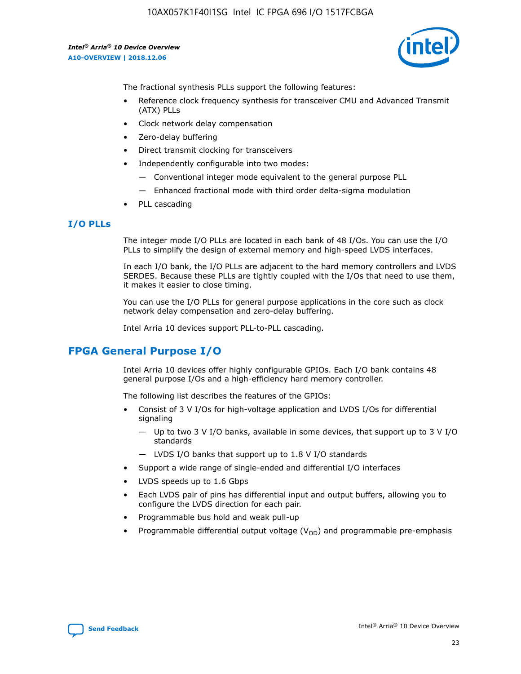

The fractional synthesis PLLs support the following features:

- Reference clock frequency synthesis for transceiver CMU and Advanced Transmit (ATX) PLLs
- Clock network delay compensation
- Zero-delay buffering
- Direct transmit clocking for transceivers
- Independently configurable into two modes:
	- Conventional integer mode equivalent to the general purpose PLL
	- Enhanced fractional mode with third order delta-sigma modulation
- PLL cascading

#### **I/O PLLs**

The integer mode I/O PLLs are located in each bank of 48 I/Os. You can use the I/O PLLs to simplify the design of external memory and high-speed LVDS interfaces.

In each I/O bank, the I/O PLLs are adjacent to the hard memory controllers and LVDS SERDES. Because these PLLs are tightly coupled with the I/Os that need to use them, it makes it easier to close timing.

You can use the I/O PLLs for general purpose applications in the core such as clock network delay compensation and zero-delay buffering.

Intel Arria 10 devices support PLL-to-PLL cascading.

# **FPGA General Purpose I/O**

Intel Arria 10 devices offer highly configurable GPIOs. Each I/O bank contains 48 general purpose I/Os and a high-efficiency hard memory controller.

The following list describes the features of the GPIOs:

- Consist of 3 V I/Os for high-voltage application and LVDS I/Os for differential signaling
	- Up to two 3 V I/O banks, available in some devices, that support up to 3 V I/O standards
	- LVDS I/O banks that support up to 1.8 V I/O standards
- Support a wide range of single-ended and differential I/O interfaces
- LVDS speeds up to 1.6 Gbps
- Each LVDS pair of pins has differential input and output buffers, allowing you to configure the LVDS direction for each pair.
- Programmable bus hold and weak pull-up
- Programmable differential output voltage  $(V_{OD})$  and programmable pre-emphasis

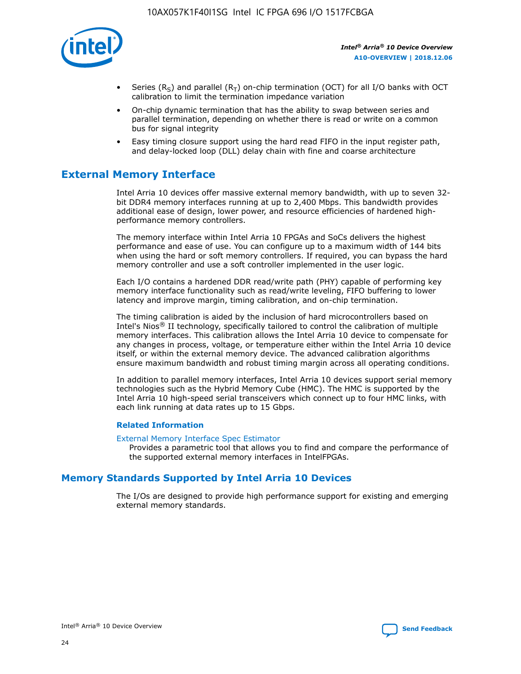

- Series (R<sub>S</sub>) and parallel (R<sub>T</sub>) on-chip termination (OCT) for all I/O banks with OCT calibration to limit the termination impedance variation
- On-chip dynamic termination that has the ability to swap between series and parallel termination, depending on whether there is read or write on a common bus for signal integrity
- Easy timing closure support using the hard read FIFO in the input register path, and delay-locked loop (DLL) delay chain with fine and coarse architecture

# **External Memory Interface**

Intel Arria 10 devices offer massive external memory bandwidth, with up to seven 32 bit DDR4 memory interfaces running at up to 2,400 Mbps. This bandwidth provides additional ease of design, lower power, and resource efficiencies of hardened highperformance memory controllers.

The memory interface within Intel Arria 10 FPGAs and SoCs delivers the highest performance and ease of use. You can configure up to a maximum width of 144 bits when using the hard or soft memory controllers. If required, you can bypass the hard memory controller and use a soft controller implemented in the user logic.

Each I/O contains a hardened DDR read/write path (PHY) capable of performing key memory interface functionality such as read/write leveling, FIFO buffering to lower latency and improve margin, timing calibration, and on-chip termination.

The timing calibration is aided by the inclusion of hard microcontrollers based on Intel's Nios® II technology, specifically tailored to control the calibration of multiple memory interfaces. This calibration allows the Intel Arria 10 device to compensate for any changes in process, voltage, or temperature either within the Intel Arria 10 device itself, or within the external memory device. The advanced calibration algorithms ensure maximum bandwidth and robust timing margin across all operating conditions.

In addition to parallel memory interfaces, Intel Arria 10 devices support serial memory technologies such as the Hybrid Memory Cube (HMC). The HMC is supported by the Intel Arria 10 high-speed serial transceivers which connect up to four HMC links, with each link running at data rates up to 15 Gbps.

#### **Related Information**

#### [External Memory Interface Spec Estimator](http://www.altera.com/technology/memory/estimator/mem-emif-index.html)

Provides a parametric tool that allows you to find and compare the performance of the supported external memory interfaces in IntelFPGAs.

# **Memory Standards Supported by Intel Arria 10 Devices**

The I/Os are designed to provide high performance support for existing and emerging external memory standards.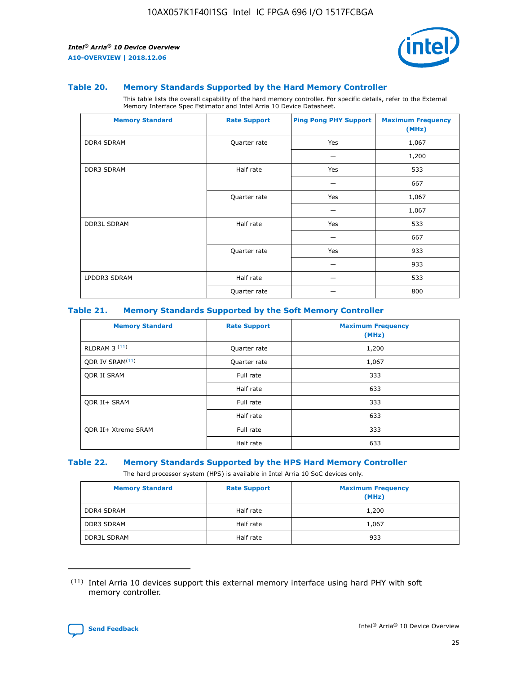

#### **Table 20. Memory Standards Supported by the Hard Memory Controller**

This table lists the overall capability of the hard memory controller. For specific details, refer to the External Memory Interface Spec Estimator and Intel Arria 10 Device Datasheet.

| <b>Memory Standard</b> | <b>Rate Support</b> | <b>Ping Pong PHY Support</b> | <b>Maximum Frequency</b><br>(MHz) |
|------------------------|---------------------|------------------------------|-----------------------------------|
| <b>DDR4 SDRAM</b>      | Quarter rate        | Yes                          | 1,067                             |
|                        |                     |                              | 1,200                             |
| <b>DDR3 SDRAM</b>      | Half rate           | Yes                          | 533                               |
|                        |                     |                              | 667                               |
|                        | Quarter rate        | Yes                          | 1,067                             |
|                        |                     |                              | 1,067                             |
| <b>DDR3L SDRAM</b>     | Half rate           | Yes                          | 533                               |
|                        |                     |                              | 667                               |
|                        | Quarter rate        | Yes                          | 933                               |
|                        |                     |                              | 933                               |
| LPDDR3 SDRAM           | Half rate           |                              | 533                               |
|                        | Quarter rate        |                              | 800                               |

#### **Table 21. Memory Standards Supported by the Soft Memory Controller**

| <b>Memory Standard</b>      | <b>Rate Support</b> | <b>Maximum Frequency</b><br>(MHz) |
|-----------------------------|---------------------|-----------------------------------|
| <b>RLDRAM 3 (11)</b>        | Quarter rate        | 1,200                             |
| ODR IV SRAM <sup>(11)</sup> | Quarter rate        | 1,067                             |
| <b>ODR II SRAM</b>          | Full rate           | 333                               |
|                             | Half rate           | 633                               |
| <b>ODR II+ SRAM</b>         | Full rate           | 333                               |
|                             | Half rate           | 633                               |
| <b>ODR II+ Xtreme SRAM</b>  | Full rate           | 333                               |
|                             | Half rate           | 633                               |

#### **Table 22. Memory Standards Supported by the HPS Hard Memory Controller**

The hard processor system (HPS) is available in Intel Arria 10 SoC devices only.

| <b>Memory Standard</b> | <b>Rate Support</b> | <b>Maximum Frequency</b><br>(MHz) |
|------------------------|---------------------|-----------------------------------|
| <b>DDR4 SDRAM</b>      | Half rate           | 1,200                             |
| <b>DDR3 SDRAM</b>      | Half rate           | 1,067                             |
| <b>DDR3L SDRAM</b>     | Half rate           | 933                               |

<sup>(11)</sup> Intel Arria 10 devices support this external memory interface using hard PHY with soft memory controller.

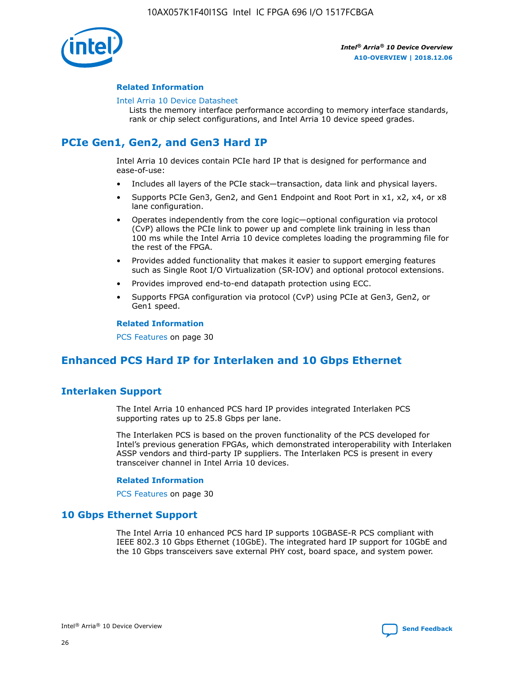

#### **Related Information**

#### [Intel Arria 10 Device Datasheet](https://www.intel.com/content/www/us/en/programmable/documentation/mcn1413182292568.html#mcn1413182153340)

Lists the memory interface performance according to memory interface standards, rank or chip select configurations, and Intel Arria 10 device speed grades.

# **PCIe Gen1, Gen2, and Gen3 Hard IP**

Intel Arria 10 devices contain PCIe hard IP that is designed for performance and ease-of-use:

- Includes all layers of the PCIe stack—transaction, data link and physical layers.
- Supports PCIe Gen3, Gen2, and Gen1 Endpoint and Root Port in x1, x2, x4, or x8 lane configuration.
- Operates independently from the core logic—optional configuration via protocol (CvP) allows the PCIe link to power up and complete link training in less than 100 ms while the Intel Arria 10 device completes loading the programming file for the rest of the FPGA.
- Provides added functionality that makes it easier to support emerging features such as Single Root I/O Virtualization (SR-IOV) and optional protocol extensions.
- Provides improved end-to-end datapath protection using ECC.
- Supports FPGA configuration via protocol (CvP) using PCIe at Gen3, Gen2, or Gen1 speed.

#### **Related Information**

PCS Features on page 30

# **Enhanced PCS Hard IP for Interlaken and 10 Gbps Ethernet**

# **Interlaken Support**

The Intel Arria 10 enhanced PCS hard IP provides integrated Interlaken PCS supporting rates up to 25.8 Gbps per lane.

The Interlaken PCS is based on the proven functionality of the PCS developed for Intel's previous generation FPGAs, which demonstrated interoperability with Interlaken ASSP vendors and third-party IP suppliers. The Interlaken PCS is present in every transceiver channel in Intel Arria 10 devices.

#### **Related Information**

PCS Features on page 30

# **10 Gbps Ethernet Support**

The Intel Arria 10 enhanced PCS hard IP supports 10GBASE-R PCS compliant with IEEE 802.3 10 Gbps Ethernet (10GbE). The integrated hard IP support for 10GbE and the 10 Gbps transceivers save external PHY cost, board space, and system power.

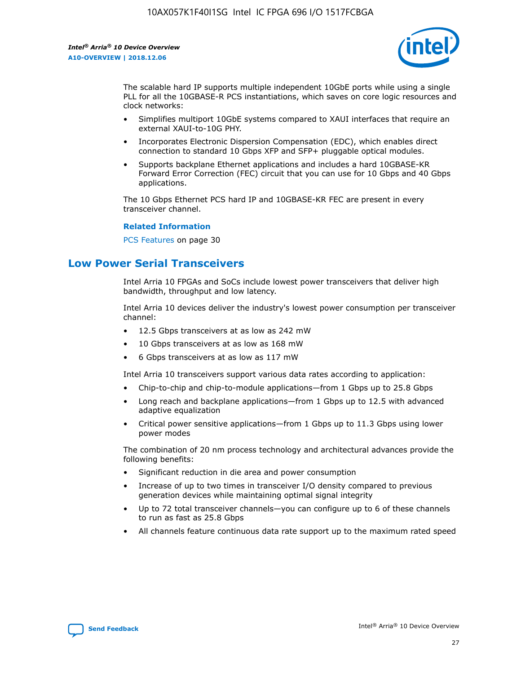

The scalable hard IP supports multiple independent 10GbE ports while using a single PLL for all the 10GBASE-R PCS instantiations, which saves on core logic resources and clock networks:

- Simplifies multiport 10GbE systems compared to XAUI interfaces that require an external XAUI-to-10G PHY.
- Incorporates Electronic Dispersion Compensation (EDC), which enables direct connection to standard 10 Gbps XFP and SFP+ pluggable optical modules.
- Supports backplane Ethernet applications and includes a hard 10GBASE-KR Forward Error Correction (FEC) circuit that you can use for 10 Gbps and 40 Gbps applications.

The 10 Gbps Ethernet PCS hard IP and 10GBASE-KR FEC are present in every transceiver channel.

#### **Related Information**

PCS Features on page 30

# **Low Power Serial Transceivers**

Intel Arria 10 FPGAs and SoCs include lowest power transceivers that deliver high bandwidth, throughput and low latency.

Intel Arria 10 devices deliver the industry's lowest power consumption per transceiver channel:

- 12.5 Gbps transceivers at as low as 242 mW
- 10 Gbps transceivers at as low as 168 mW
- 6 Gbps transceivers at as low as 117 mW

Intel Arria 10 transceivers support various data rates according to application:

- Chip-to-chip and chip-to-module applications—from 1 Gbps up to 25.8 Gbps
- Long reach and backplane applications—from 1 Gbps up to 12.5 with advanced adaptive equalization
- Critical power sensitive applications—from 1 Gbps up to 11.3 Gbps using lower power modes

The combination of 20 nm process technology and architectural advances provide the following benefits:

- Significant reduction in die area and power consumption
- Increase of up to two times in transceiver I/O density compared to previous generation devices while maintaining optimal signal integrity
- Up to 72 total transceiver channels—you can configure up to 6 of these channels to run as fast as 25.8 Gbps
- All channels feature continuous data rate support up to the maximum rated speed

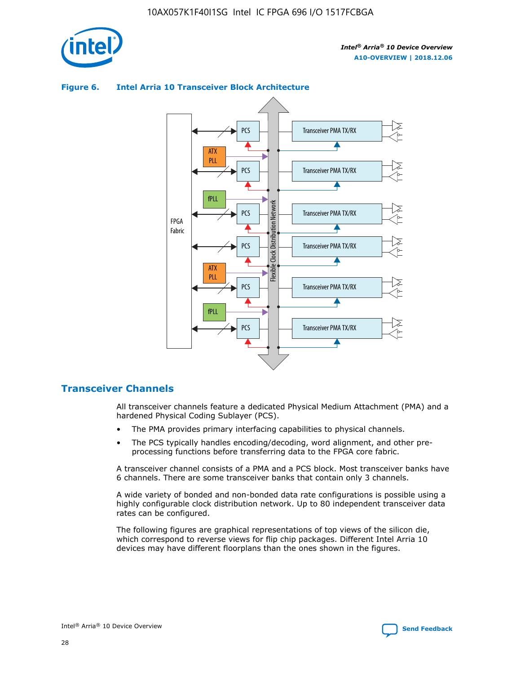



## **Figure 6. Intel Arria 10 Transceiver Block Architecture**

# **Transceiver Channels**

All transceiver channels feature a dedicated Physical Medium Attachment (PMA) and a hardened Physical Coding Sublayer (PCS).

- The PMA provides primary interfacing capabilities to physical channels.
- The PCS typically handles encoding/decoding, word alignment, and other preprocessing functions before transferring data to the FPGA core fabric.

A transceiver channel consists of a PMA and a PCS block. Most transceiver banks have 6 channels. There are some transceiver banks that contain only 3 channels.

A wide variety of bonded and non-bonded data rate configurations is possible using a highly configurable clock distribution network. Up to 80 independent transceiver data rates can be configured.

The following figures are graphical representations of top views of the silicon die, which correspond to reverse views for flip chip packages. Different Intel Arria 10 devices may have different floorplans than the ones shown in the figures.

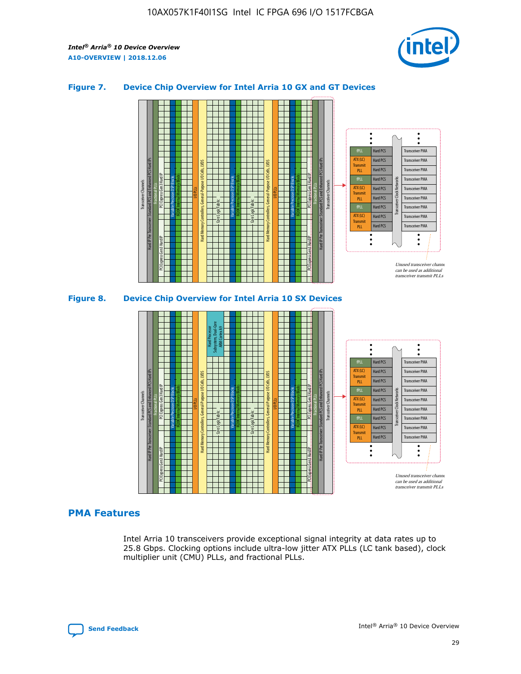

## **Figure 7. Device Chip Overview for Intel Arria 10 GX and GT Devices**



M20K Internal Memory Blocks Core Logic Fabric Transceiver Channels Hard IP Per Transceiver: Standard PCS and Enhanced PCS Hard IPs PCI Express Gen3 Hard IP Fractional PLLs M20K Internal Memory Blocks PCI Express Gen3 Hard IP Variable Precision DSP Blocks I/O PLLs Hard Memory Controllers, General-Purpose I/O Cells, LVDS Hard Processor Subsystem, Dual-Core ARM Cortex A9 M20K Internal Memory Blocks Variable Precision DSP Blocks M20K Internal Memory Blocks Core Logic Fabric I/O PLLs Hard Memory Controllers, General-Purpose I/O Cells, LVDS M20K Internal Memory Blocks Variable Precision DSP Blocks M20K Internal Memory Blocks Transceiver Channels Hard IP Per Transceiver: Standard PCS and Enhanced PCS Hard IPs PCI Express Gen3 Hard IP Fractional PLLs PCI Express Gen3 Hard IP  $\ddot{\cdot}$ Hard PCS Transceiver PMA fPLL ATX (LC) Hard PCS Transceiver PMA **Transmit** Hard PCS Transceiver PMA PLL fPLL Hard PCS Transceiver PMA Transceiver Clock Networks ATX (LC) Hard PCS Transceiver PMA Transmi Hard PCS Transceiver PMA PLL fPLL Hard PCS Transceiver PMA Transceiver PMA Hard PCS ATX (LC) **Transmit** Hard PCS Transceiver PMA PLL Unused transceiver chann can be used as additional transceiver transmit PLLs

### **PMA Features**

Intel Arria 10 transceivers provide exceptional signal integrity at data rates up to 25.8 Gbps. Clocking options include ultra-low jitter ATX PLLs (LC tank based), clock multiplier unit (CMU) PLLs, and fractional PLLs.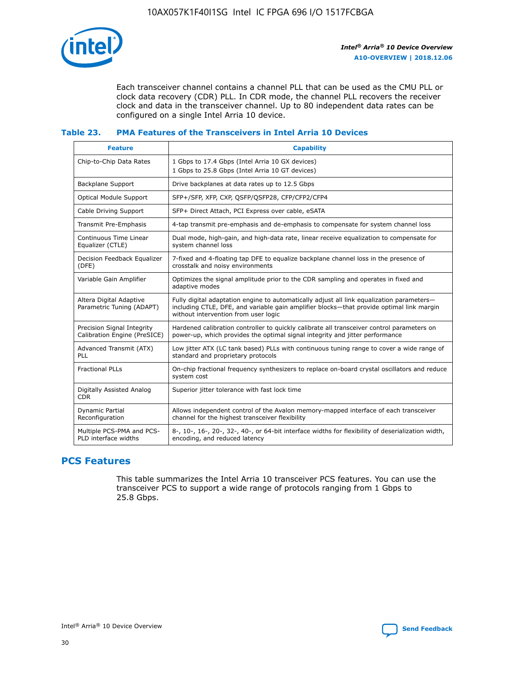

Each transceiver channel contains a channel PLL that can be used as the CMU PLL or clock data recovery (CDR) PLL. In CDR mode, the channel PLL recovers the receiver clock and data in the transceiver channel. Up to 80 independent data rates can be configured on a single Intel Arria 10 device.

# **Table 23. PMA Features of the Transceivers in Intel Arria 10 Devices**

| <b>Feature</b>                                             | <b>Capability</b>                                                                                                                                                                                                             |
|------------------------------------------------------------|-------------------------------------------------------------------------------------------------------------------------------------------------------------------------------------------------------------------------------|
| Chip-to-Chip Data Rates                                    | 1 Gbps to 17.4 Gbps (Intel Arria 10 GX devices)<br>1 Gbps to 25.8 Gbps (Intel Arria 10 GT devices)                                                                                                                            |
| <b>Backplane Support</b>                                   | Drive backplanes at data rates up to 12.5 Gbps                                                                                                                                                                                |
| <b>Optical Module Support</b>                              | SFP+/SFP, XFP, CXP, QSFP/QSFP28, CFP/CFP2/CFP4                                                                                                                                                                                |
| Cable Driving Support                                      | SFP+ Direct Attach, PCI Express over cable, eSATA                                                                                                                                                                             |
| Transmit Pre-Emphasis                                      | 4-tap transmit pre-emphasis and de-emphasis to compensate for system channel loss                                                                                                                                             |
| Continuous Time Linear<br>Equalizer (CTLE)                 | Dual mode, high-gain, and high-data rate, linear receive equalization to compensate for<br>system channel loss                                                                                                                |
| Decision Feedback Equalizer<br>(DFE)                       | 7-fixed and 4-floating tap DFE to equalize backplane channel loss in the presence of<br>crosstalk and noisy environments                                                                                                      |
| Variable Gain Amplifier                                    | Optimizes the signal amplitude prior to the CDR sampling and operates in fixed and<br>adaptive modes                                                                                                                          |
| Altera Digital Adaptive<br>Parametric Tuning (ADAPT)       | Fully digital adaptation engine to automatically adjust all link equalization parameters-<br>including CTLE, DFE, and variable gain amplifier blocks—that provide optimal link margin<br>without intervention from user logic |
| Precision Signal Integrity<br>Calibration Engine (PreSICE) | Hardened calibration controller to quickly calibrate all transceiver control parameters on<br>power-up, which provides the optimal signal integrity and jitter performance                                                    |
| Advanced Transmit (ATX)<br>PLL                             | Low jitter ATX (LC tank based) PLLs with continuous tuning range to cover a wide range of<br>standard and proprietary protocols                                                                                               |
| <b>Fractional PLLs</b>                                     | On-chip fractional frequency synthesizers to replace on-board crystal oscillators and reduce<br>system cost                                                                                                                   |
| Digitally Assisted Analog<br><b>CDR</b>                    | Superior jitter tolerance with fast lock time                                                                                                                                                                                 |
| <b>Dynamic Partial</b><br>Reconfiguration                  | Allows independent control of the Avalon memory-mapped interface of each transceiver<br>channel for the highest transceiver flexibility                                                                                       |
| Multiple PCS-PMA and PCS-<br>PLD interface widths          | 8-, 10-, 16-, 20-, 32-, 40-, or 64-bit interface widths for flexibility of deserialization width,<br>encoding, and reduced latency                                                                                            |

# **PCS Features**

This table summarizes the Intel Arria 10 transceiver PCS features. You can use the transceiver PCS to support a wide range of protocols ranging from 1 Gbps to 25.8 Gbps.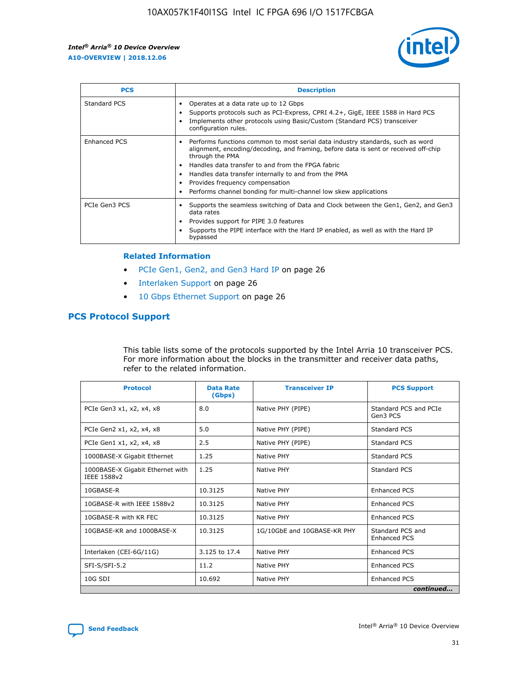

| <b>PCS</b>    | <b>Description</b>                                                                                                                                                                                                                                                                                                                                                                                             |
|---------------|----------------------------------------------------------------------------------------------------------------------------------------------------------------------------------------------------------------------------------------------------------------------------------------------------------------------------------------------------------------------------------------------------------------|
| Standard PCS  | Operates at a data rate up to 12 Gbps<br>Supports protocols such as PCI-Express, CPRI 4.2+, GigE, IEEE 1588 in Hard PCS<br>Implements other protocols using Basic/Custom (Standard PCS) transceiver<br>configuration rules.                                                                                                                                                                                    |
| Enhanced PCS  | Performs functions common to most serial data industry standards, such as word<br>alignment, encoding/decoding, and framing, before data is sent or received off-chip<br>through the PMA<br>• Handles data transfer to and from the FPGA fabric<br>Handles data transfer internally to and from the PMA<br>Provides frequency compensation<br>Performs channel bonding for multi-channel low skew applications |
| PCIe Gen3 PCS | Supports the seamless switching of Data and Clock between the Gen1, Gen2, and Gen3<br>data rates<br>Provides support for PIPE 3.0 features<br>Supports the PIPE interface with the Hard IP enabled, as well as with the Hard IP<br>bypassed                                                                                                                                                                    |

#### **Related Information**

- PCIe Gen1, Gen2, and Gen3 Hard IP on page 26
- Interlaken Support on page 26
- 10 Gbps Ethernet Support on page 26

# **PCS Protocol Support**

This table lists some of the protocols supported by the Intel Arria 10 transceiver PCS. For more information about the blocks in the transmitter and receiver data paths, refer to the related information.

| <b>Protocol</b>                                 | <b>Data Rate</b><br>(Gbps) | <b>Transceiver IP</b>       | <b>PCS Support</b>                      |
|-------------------------------------------------|----------------------------|-----------------------------|-----------------------------------------|
| PCIe Gen3 x1, x2, x4, x8                        | 8.0                        | Native PHY (PIPE)           | Standard PCS and PCIe<br>Gen3 PCS       |
| PCIe Gen2 x1, x2, x4, x8                        | 5.0                        | Native PHY (PIPE)           | <b>Standard PCS</b>                     |
| PCIe Gen1 x1, x2, x4, x8                        | 2.5                        | Native PHY (PIPE)           | Standard PCS                            |
| 1000BASE-X Gigabit Ethernet                     | 1.25                       | Native PHY                  | <b>Standard PCS</b>                     |
| 1000BASE-X Gigabit Ethernet with<br>IEEE 1588v2 | 1.25                       | Native PHY                  | Standard PCS                            |
| 10GBASE-R                                       | 10.3125                    | Native PHY                  | <b>Enhanced PCS</b>                     |
| 10GBASE-R with IEEE 1588v2                      | 10.3125                    | Native PHY                  | <b>Enhanced PCS</b>                     |
| 10GBASE-R with KR FEC                           | 10.3125                    | Native PHY                  | <b>Enhanced PCS</b>                     |
| 10GBASE-KR and 1000BASE-X                       | 10.3125                    | 1G/10GbE and 10GBASE-KR PHY | Standard PCS and<br><b>Enhanced PCS</b> |
| Interlaken (CEI-6G/11G)                         | 3.125 to 17.4              | Native PHY                  | <b>Enhanced PCS</b>                     |
| SFI-S/SFI-5.2                                   | 11.2                       | Native PHY                  | <b>Enhanced PCS</b>                     |
| $10G$ SDI                                       | 10.692                     | Native PHY                  | <b>Enhanced PCS</b>                     |
|                                                 |                            |                             | continued                               |

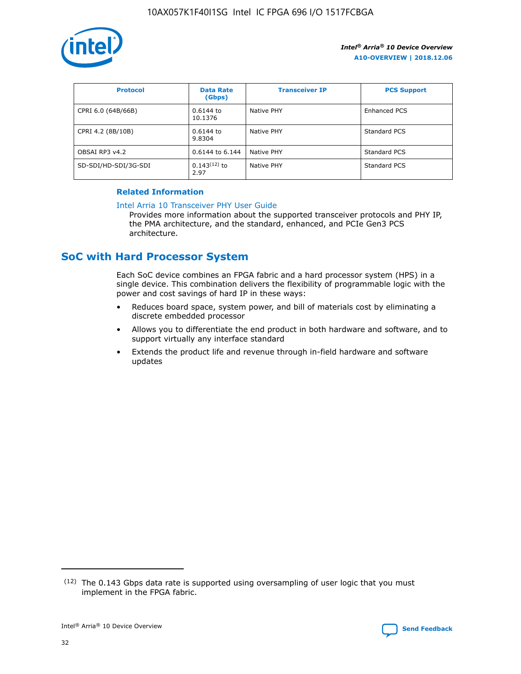

| <b>Protocol</b>      | <b>Data Rate</b><br>(Gbps) | <b>Transceiver IP</b> | <b>PCS Support</b> |
|----------------------|----------------------------|-----------------------|--------------------|
| CPRI 6.0 (64B/66B)   | 0.6144 to<br>10.1376       | Native PHY            | Enhanced PCS       |
| CPRI 4.2 (8B/10B)    | 0.6144 to<br>9.8304        | Native PHY            | Standard PCS       |
| OBSAI RP3 v4.2       | 0.6144 to 6.144            | Native PHY            | Standard PCS       |
| SD-SDI/HD-SDI/3G-SDI | $0.143(12)$ to<br>2.97     | Native PHY            | Standard PCS       |

## **Related Information**

#### [Intel Arria 10 Transceiver PHY User Guide](https://www.intel.com/content/www/us/en/programmable/documentation/nik1398707230472.html#nik1398707091164)

Provides more information about the supported transceiver protocols and PHY IP, the PMA architecture, and the standard, enhanced, and PCIe Gen3 PCS architecture.

# **SoC with Hard Processor System**

Each SoC device combines an FPGA fabric and a hard processor system (HPS) in a single device. This combination delivers the flexibility of programmable logic with the power and cost savings of hard IP in these ways:

- Reduces board space, system power, and bill of materials cost by eliminating a discrete embedded processor
- Allows you to differentiate the end product in both hardware and software, and to support virtually any interface standard
- Extends the product life and revenue through in-field hardware and software updates

<sup>(12)</sup> The 0.143 Gbps data rate is supported using oversampling of user logic that you must implement in the FPGA fabric.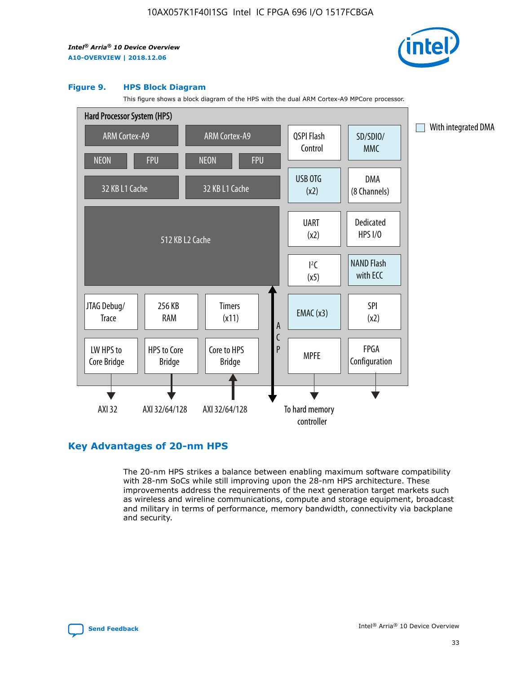

#### **Figure 9. HPS Block Diagram**

This figure shows a block diagram of the HPS with the dual ARM Cortex-A9 MPCore processor.



# **Key Advantages of 20-nm HPS**

The 20-nm HPS strikes a balance between enabling maximum software compatibility with 28-nm SoCs while still improving upon the 28-nm HPS architecture. These improvements address the requirements of the next generation target markets such as wireless and wireline communications, compute and storage equipment, broadcast and military in terms of performance, memory bandwidth, connectivity via backplane and security.

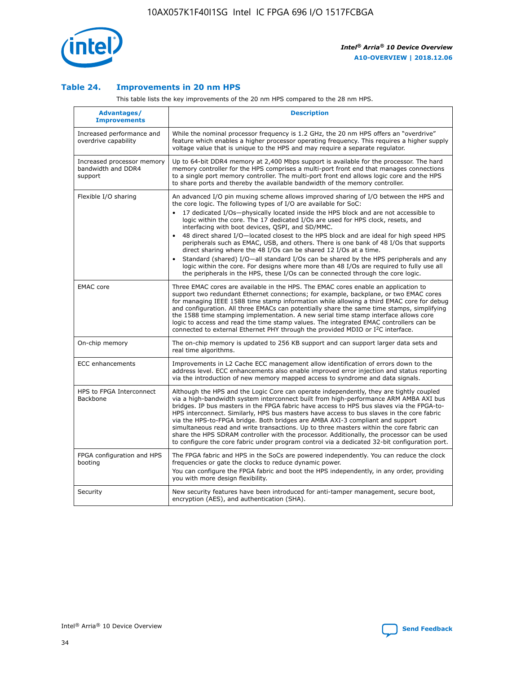

## **Table 24. Improvements in 20 nm HPS**

This table lists the key improvements of the 20 nm HPS compared to the 28 nm HPS.

| Advantages/<br><b>Improvements</b>                          | <b>Description</b>                                                                                                                                                                                                                                                                                                                                                                                                                                                                                                                                                                                                                                                                                                                                                                                                                                                                                                      |
|-------------------------------------------------------------|-------------------------------------------------------------------------------------------------------------------------------------------------------------------------------------------------------------------------------------------------------------------------------------------------------------------------------------------------------------------------------------------------------------------------------------------------------------------------------------------------------------------------------------------------------------------------------------------------------------------------------------------------------------------------------------------------------------------------------------------------------------------------------------------------------------------------------------------------------------------------------------------------------------------------|
| Increased performance and<br>overdrive capability           | While the nominal processor frequency is 1.2 GHz, the 20 nm HPS offers an "overdrive"<br>feature which enables a higher processor operating frequency. This requires a higher supply<br>voltage value that is unique to the HPS and may require a separate regulator.                                                                                                                                                                                                                                                                                                                                                                                                                                                                                                                                                                                                                                                   |
| Increased processor memory<br>bandwidth and DDR4<br>support | Up to 64-bit DDR4 memory at 2,400 Mbps support is available for the processor. The hard<br>memory controller for the HPS comprises a multi-port front end that manages connections<br>to a single port memory controller. The multi-port front end allows logic core and the HPS<br>to share ports and thereby the available bandwidth of the memory controller.                                                                                                                                                                                                                                                                                                                                                                                                                                                                                                                                                        |
| Flexible I/O sharing                                        | An advanced I/O pin muxing scheme allows improved sharing of I/O between the HPS and<br>the core logic. The following types of I/O are available for SoC:<br>17 dedicated I/Os-physically located inside the HPS block and are not accessible to<br>logic within the core. The 17 dedicated I/Os are used for HPS clock, resets, and<br>interfacing with boot devices, QSPI, and SD/MMC.<br>48 direct shared I/O-located closest to the HPS block and are ideal for high speed HPS<br>peripherals such as EMAC, USB, and others. There is one bank of 48 I/Os that supports<br>direct sharing where the 48 I/Os can be shared 12 I/Os at a time.<br>Standard (shared) I/O-all standard I/Os can be shared by the HPS peripherals and any<br>logic within the core. For designs where more than 48 I/Os are reguired to fully use all<br>the peripherals in the HPS, these I/Os can be connected through the core logic. |
| <b>EMAC</b> core                                            | Three EMAC cores are available in the HPS. The EMAC cores enable an application to<br>support two redundant Ethernet connections; for example, backplane, or two EMAC cores<br>for managing IEEE 1588 time stamp information while allowing a third EMAC core for debug<br>and configuration. All three EMACs can potentially share the same time stamps, simplifying<br>the 1588 time stamping implementation. A new serial time stamp interface allows core<br>logic to access and read the time stamp values. The integrated EMAC controllers can be<br>connected to external Ethernet PHY through the provided MDIO or I <sup>2</sup> C interface.                                                                                                                                                                                                                                                                  |
| On-chip memory                                              | The on-chip memory is updated to 256 KB support and can support larger data sets and<br>real time algorithms.                                                                                                                                                                                                                                                                                                                                                                                                                                                                                                                                                                                                                                                                                                                                                                                                           |
| <b>ECC</b> enhancements                                     | Improvements in L2 Cache ECC management allow identification of errors down to the<br>address level. ECC enhancements also enable improved error injection and status reporting<br>via the introduction of new memory mapped access to syndrome and data signals.                                                                                                                                                                                                                                                                                                                                                                                                                                                                                                                                                                                                                                                       |
| HPS to FPGA Interconnect<br>Backbone                        | Although the HPS and the Logic Core can operate independently, they are tightly coupled<br>via a high-bandwidth system interconnect built from high-performance ARM AMBA AXI bus<br>bridges. IP bus masters in the FPGA fabric have access to HPS bus slaves via the FPGA-to-<br>HPS interconnect. Similarly, HPS bus masters have access to bus slaves in the core fabric<br>via the HPS-to-FPGA bridge. Both bridges are AMBA AXI-3 compliant and support<br>simultaneous read and write transactions. Up to three masters within the core fabric can<br>share the HPS SDRAM controller with the processor. Additionally, the processor can be used<br>to configure the core fabric under program control via a dedicated 32-bit configuration port.                                                                                                                                                                  |
| FPGA configuration and HPS<br>booting                       | The FPGA fabric and HPS in the SoCs are powered independently. You can reduce the clock<br>frequencies or gate the clocks to reduce dynamic power.<br>You can configure the FPGA fabric and boot the HPS independently, in any order, providing<br>you with more design flexibility.                                                                                                                                                                                                                                                                                                                                                                                                                                                                                                                                                                                                                                    |
| Security                                                    | New security features have been introduced for anti-tamper management, secure boot,<br>encryption (AES), and authentication (SHA).                                                                                                                                                                                                                                                                                                                                                                                                                                                                                                                                                                                                                                                                                                                                                                                      |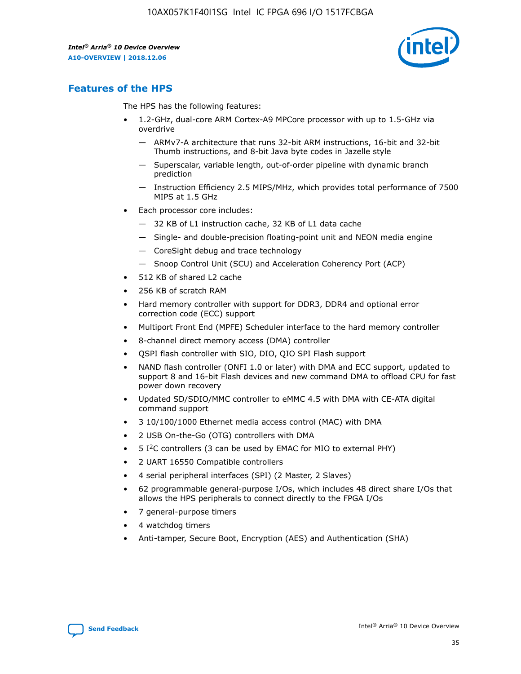

# **Features of the HPS**

The HPS has the following features:

- 1.2-GHz, dual-core ARM Cortex-A9 MPCore processor with up to 1.5-GHz via overdrive
	- ARMv7-A architecture that runs 32-bit ARM instructions, 16-bit and 32-bit Thumb instructions, and 8-bit Java byte codes in Jazelle style
	- Superscalar, variable length, out-of-order pipeline with dynamic branch prediction
	- Instruction Efficiency 2.5 MIPS/MHz, which provides total performance of 7500 MIPS at 1.5 GHz
- Each processor core includes:
	- 32 KB of L1 instruction cache, 32 KB of L1 data cache
	- Single- and double-precision floating-point unit and NEON media engine
	- CoreSight debug and trace technology
	- Snoop Control Unit (SCU) and Acceleration Coherency Port (ACP)
- 512 KB of shared L2 cache
- 256 KB of scratch RAM
- Hard memory controller with support for DDR3, DDR4 and optional error correction code (ECC) support
- Multiport Front End (MPFE) Scheduler interface to the hard memory controller
- 8-channel direct memory access (DMA) controller
- QSPI flash controller with SIO, DIO, QIO SPI Flash support
- NAND flash controller (ONFI 1.0 or later) with DMA and ECC support, updated to support 8 and 16-bit Flash devices and new command DMA to offload CPU for fast power down recovery
- Updated SD/SDIO/MMC controller to eMMC 4.5 with DMA with CE-ATA digital command support
- 3 10/100/1000 Ethernet media access control (MAC) with DMA
- 2 USB On-the-Go (OTG) controllers with DMA
- $\bullet$  5 I<sup>2</sup>C controllers (3 can be used by EMAC for MIO to external PHY)
- 2 UART 16550 Compatible controllers
- 4 serial peripheral interfaces (SPI) (2 Master, 2 Slaves)
- 62 programmable general-purpose I/Os, which includes 48 direct share I/Os that allows the HPS peripherals to connect directly to the FPGA I/Os
- 7 general-purpose timers
- 4 watchdog timers
- Anti-tamper, Secure Boot, Encryption (AES) and Authentication (SHA)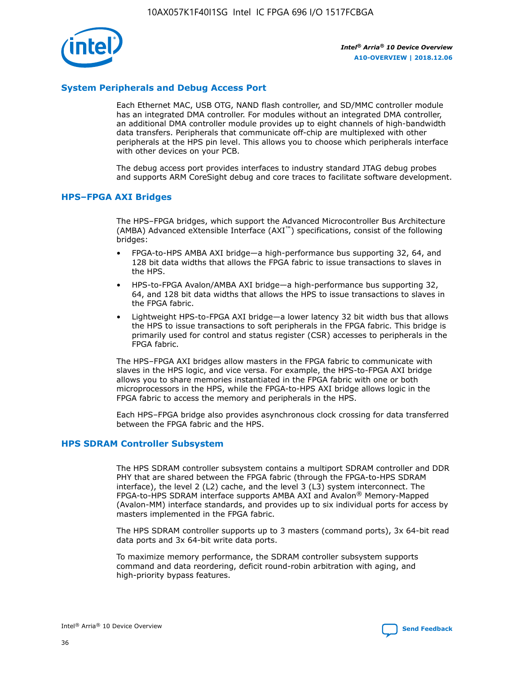

# **System Peripherals and Debug Access Port**

Each Ethernet MAC, USB OTG, NAND flash controller, and SD/MMC controller module has an integrated DMA controller. For modules without an integrated DMA controller, an additional DMA controller module provides up to eight channels of high-bandwidth data transfers. Peripherals that communicate off-chip are multiplexed with other peripherals at the HPS pin level. This allows you to choose which peripherals interface with other devices on your PCB.

The debug access port provides interfaces to industry standard JTAG debug probes and supports ARM CoreSight debug and core traces to facilitate software development.

## **HPS–FPGA AXI Bridges**

The HPS–FPGA bridges, which support the Advanced Microcontroller Bus Architecture (AMBA) Advanced eXtensible Interface (AXI™) specifications, consist of the following bridges:

- FPGA-to-HPS AMBA AXI bridge—a high-performance bus supporting 32, 64, and 128 bit data widths that allows the FPGA fabric to issue transactions to slaves in the HPS.
- HPS-to-FPGA Avalon/AMBA AXI bridge—a high-performance bus supporting 32, 64, and 128 bit data widths that allows the HPS to issue transactions to slaves in the FPGA fabric.
- Lightweight HPS-to-FPGA AXI bridge—a lower latency 32 bit width bus that allows the HPS to issue transactions to soft peripherals in the FPGA fabric. This bridge is primarily used for control and status register (CSR) accesses to peripherals in the FPGA fabric.

The HPS–FPGA AXI bridges allow masters in the FPGA fabric to communicate with slaves in the HPS logic, and vice versa. For example, the HPS-to-FPGA AXI bridge allows you to share memories instantiated in the FPGA fabric with one or both microprocessors in the HPS, while the FPGA-to-HPS AXI bridge allows logic in the FPGA fabric to access the memory and peripherals in the HPS.

Each HPS–FPGA bridge also provides asynchronous clock crossing for data transferred between the FPGA fabric and the HPS.

#### **HPS SDRAM Controller Subsystem**

The HPS SDRAM controller subsystem contains a multiport SDRAM controller and DDR PHY that are shared between the FPGA fabric (through the FPGA-to-HPS SDRAM interface), the level 2 (L2) cache, and the level 3 (L3) system interconnect. The FPGA-to-HPS SDRAM interface supports AMBA AXI and Avalon® Memory-Mapped (Avalon-MM) interface standards, and provides up to six individual ports for access by masters implemented in the FPGA fabric.

The HPS SDRAM controller supports up to 3 masters (command ports), 3x 64-bit read data ports and 3x 64-bit write data ports.

To maximize memory performance, the SDRAM controller subsystem supports command and data reordering, deficit round-robin arbitration with aging, and high-priority bypass features.

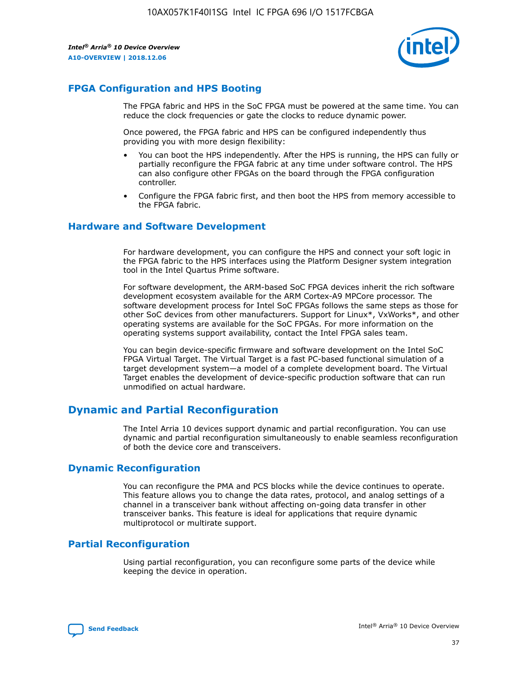

# **FPGA Configuration and HPS Booting**

The FPGA fabric and HPS in the SoC FPGA must be powered at the same time. You can reduce the clock frequencies or gate the clocks to reduce dynamic power.

Once powered, the FPGA fabric and HPS can be configured independently thus providing you with more design flexibility:

- You can boot the HPS independently. After the HPS is running, the HPS can fully or partially reconfigure the FPGA fabric at any time under software control. The HPS can also configure other FPGAs on the board through the FPGA configuration controller.
- Configure the FPGA fabric first, and then boot the HPS from memory accessible to the FPGA fabric.

## **Hardware and Software Development**

For hardware development, you can configure the HPS and connect your soft logic in the FPGA fabric to the HPS interfaces using the Platform Designer system integration tool in the Intel Quartus Prime software.

For software development, the ARM-based SoC FPGA devices inherit the rich software development ecosystem available for the ARM Cortex-A9 MPCore processor. The software development process for Intel SoC FPGAs follows the same steps as those for other SoC devices from other manufacturers. Support for Linux\*, VxWorks\*, and other operating systems are available for the SoC FPGAs. For more information on the operating systems support availability, contact the Intel FPGA sales team.

You can begin device-specific firmware and software development on the Intel SoC FPGA Virtual Target. The Virtual Target is a fast PC-based functional simulation of a target development system—a model of a complete development board. The Virtual Target enables the development of device-specific production software that can run unmodified on actual hardware.

# **Dynamic and Partial Reconfiguration**

The Intel Arria 10 devices support dynamic and partial reconfiguration. You can use dynamic and partial reconfiguration simultaneously to enable seamless reconfiguration of both the device core and transceivers.

# **Dynamic Reconfiguration**

You can reconfigure the PMA and PCS blocks while the device continues to operate. This feature allows you to change the data rates, protocol, and analog settings of a channel in a transceiver bank without affecting on-going data transfer in other transceiver banks. This feature is ideal for applications that require dynamic multiprotocol or multirate support.

# **Partial Reconfiguration**

Using partial reconfiguration, you can reconfigure some parts of the device while keeping the device in operation.

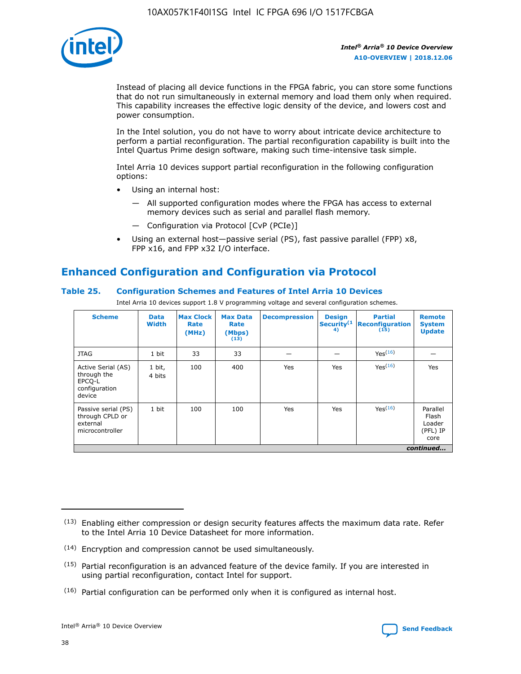

Instead of placing all device functions in the FPGA fabric, you can store some functions that do not run simultaneously in external memory and load them only when required. This capability increases the effective logic density of the device, and lowers cost and power consumption.

In the Intel solution, you do not have to worry about intricate device architecture to perform a partial reconfiguration. The partial reconfiguration capability is built into the Intel Quartus Prime design software, making such time-intensive task simple.

Intel Arria 10 devices support partial reconfiguration in the following configuration options:

- Using an internal host:
	- All supported configuration modes where the FPGA has access to external memory devices such as serial and parallel flash memory.
	- Configuration via Protocol [CvP (PCIe)]
- Using an external host—passive serial (PS), fast passive parallel (FPP) x8, FPP x16, and FPP x32 I/O interface.

# **Enhanced Configuration and Configuration via Protocol**

# **Table 25. Configuration Schemes and Features of Intel Arria 10 Devices**

Intel Arria 10 devices support 1.8 V programming voltage and several configuration schemes.

| <b>Scheme</b>                                                          | <b>Data</b><br><b>Width</b> | <b>Max Clock</b><br>Rate<br>(MHz) | <b>Max Data</b><br>Rate<br>(Mbps)<br>(13) | <b>Decompression</b> | <b>Design</b><br>Security <sup>(1</sup><br>4) | <b>Partial</b><br>Reconfiguration<br>(15) | <b>Remote</b><br><b>System</b><br><b>Update</b> |
|------------------------------------------------------------------------|-----------------------------|-----------------------------------|-------------------------------------------|----------------------|-----------------------------------------------|-------------------------------------------|-------------------------------------------------|
| <b>JTAG</b>                                                            | 1 bit                       | 33                                | 33                                        |                      |                                               | Yes(16)                                   |                                                 |
| Active Serial (AS)<br>through the<br>EPCO-L<br>configuration<br>device | 1 bit,<br>4 bits            | 100                               | 400                                       | Yes                  | Yes                                           | Yes(16)                                   | Yes                                             |
| Passive serial (PS)<br>through CPLD or<br>external<br>microcontroller  | 1 bit                       | 100                               | 100                                       | Yes                  | Yes                                           | Yes <sup>(16)</sup>                       | Parallel<br>Flash<br>Loader<br>(PFL) IP<br>core |
|                                                                        |                             |                                   |                                           |                      |                                               |                                           | continued                                       |

<sup>(13)</sup> Enabling either compression or design security features affects the maximum data rate. Refer to the Intel Arria 10 Device Datasheet for more information.

<sup>(14)</sup> Encryption and compression cannot be used simultaneously.

 $(15)$  Partial reconfiguration is an advanced feature of the device family. If you are interested in using partial reconfiguration, contact Intel for support.

 $(16)$  Partial configuration can be performed only when it is configured as internal host.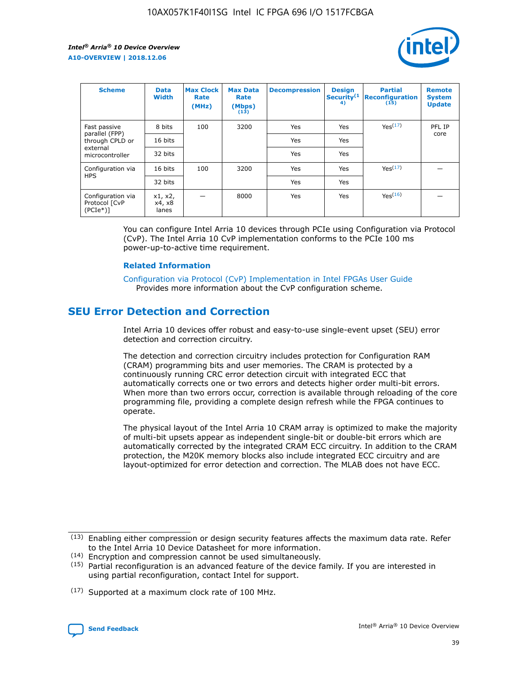

| <b>Scheme</b>                                    | <b>Data</b><br><b>Width</b> | <b>Max Clock</b><br>Rate<br>(MHz) | <b>Max Data</b><br>Rate<br>(Mbps)<br>(13) | <b>Decompression</b> | <b>Design</b><br>Security <sup>(1</sup><br>4) | <b>Partial</b><br><b>Reconfiguration</b><br>(15) | <b>Remote</b><br><b>System</b><br><b>Update</b> |
|--------------------------------------------------|-----------------------------|-----------------------------------|-------------------------------------------|----------------------|-----------------------------------------------|--------------------------------------------------|-------------------------------------------------|
| Fast passive                                     | 8 bits                      | 100                               | 3200                                      | Yes                  | Yes                                           | Yes(17)                                          | PFL IP                                          |
| parallel (FPP)<br>through CPLD or                | 16 bits                     |                                   |                                           | Yes                  | Yes                                           |                                                  | core                                            |
| external<br>microcontroller                      | 32 bits                     |                                   |                                           | Yes                  | Yes                                           |                                                  |                                                 |
| Configuration via                                | 16 bits                     | 100                               | 3200                                      | Yes                  | Yes                                           | Yes <sup>(17)</sup>                              |                                                 |
| <b>HPS</b>                                       | 32 bits                     |                                   |                                           | Yes                  | Yes                                           |                                                  |                                                 |
| Configuration via<br>Protocol [CvP<br>$(PCIe^*)$ | x1, x2,<br>x4, x8<br>lanes  |                                   | 8000                                      | Yes                  | Yes                                           | Yes(16)                                          |                                                 |

You can configure Intel Arria 10 devices through PCIe using Configuration via Protocol (CvP). The Intel Arria 10 CvP implementation conforms to the PCIe 100 ms power-up-to-active time requirement.

#### **Related Information**

[Configuration via Protocol \(CvP\) Implementation in Intel FPGAs User Guide](https://www.intel.com/content/www/us/en/programmable/documentation/dsu1441819344145.html#dsu1442269728522) Provides more information about the CvP configuration scheme.

# **SEU Error Detection and Correction**

Intel Arria 10 devices offer robust and easy-to-use single-event upset (SEU) error detection and correction circuitry.

The detection and correction circuitry includes protection for Configuration RAM (CRAM) programming bits and user memories. The CRAM is protected by a continuously running CRC error detection circuit with integrated ECC that automatically corrects one or two errors and detects higher order multi-bit errors. When more than two errors occur, correction is available through reloading of the core programming file, providing a complete design refresh while the FPGA continues to operate.

The physical layout of the Intel Arria 10 CRAM array is optimized to make the majority of multi-bit upsets appear as independent single-bit or double-bit errors which are automatically corrected by the integrated CRAM ECC circuitry. In addition to the CRAM protection, the M20K memory blocks also include integrated ECC circuitry and are layout-optimized for error detection and correction. The MLAB does not have ECC.

(14) Encryption and compression cannot be used simultaneously.

<sup>(17)</sup> Supported at a maximum clock rate of 100 MHz.



 $(13)$  Enabling either compression or design security features affects the maximum data rate. Refer to the Intel Arria 10 Device Datasheet for more information.

 $(15)$  Partial reconfiguration is an advanced feature of the device family. If you are interested in using partial reconfiguration, contact Intel for support.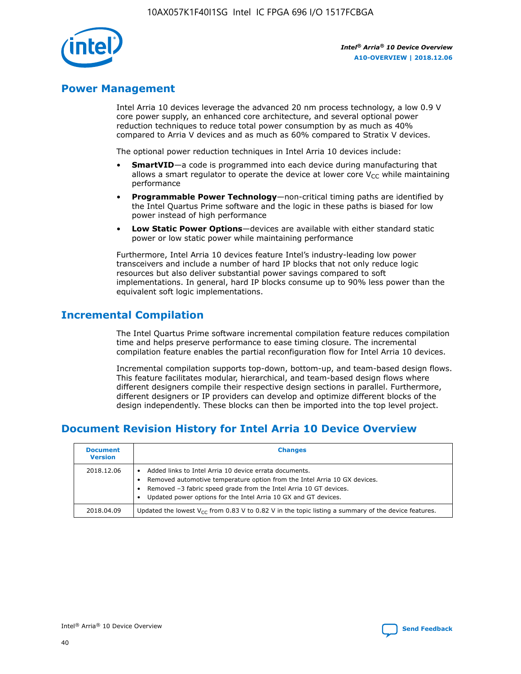

# **Power Management**

Intel Arria 10 devices leverage the advanced 20 nm process technology, a low 0.9 V core power supply, an enhanced core architecture, and several optional power reduction techniques to reduce total power consumption by as much as 40% compared to Arria V devices and as much as 60% compared to Stratix V devices.

The optional power reduction techniques in Intel Arria 10 devices include:

- **SmartVID**—a code is programmed into each device during manufacturing that allows a smart regulator to operate the device at lower core  $V_{CC}$  while maintaining performance
- **Programmable Power Technology**—non-critical timing paths are identified by the Intel Quartus Prime software and the logic in these paths is biased for low power instead of high performance
- **Low Static Power Options**—devices are available with either standard static power or low static power while maintaining performance

Furthermore, Intel Arria 10 devices feature Intel's industry-leading low power transceivers and include a number of hard IP blocks that not only reduce logic resources but also deliver substantial power savings compared to soft implementations. In general, hard IP blocks consume up to 90% less power than the equivalent soft logic implementations.

# **Incremental Compilation**

The Intel Quartus Prime software incremental compilation feature reduces compilation time and helps preserve performance to ease timing closure. The incremental compilation feature enables the partial reconfiguration flow for Intel Arria 10 devices.

Incremental compilation supports top-down, bottom-up, and team-based design flows. This feature facilitates modular, hierarchical, and team-based design flows where different designers compile their respective design sections in parallel. Furthermore, different designers or IP providers can develop and optimize different blocks of the design independently. These blocks can then be imported into the top level project.

# **Document Revision History for Intel Arria 10 Device Overview**

| <b>Document</b><br><b>Version</b> | <b>Changes</b>                                                                                                                                                                                                                                                              |
|-----------------------------------|-----------------------------------------------------------------------------------------------------------------------------------------------------------------------------------------------------------------------------------------------------------------------------|
| 2018.12.06                        | Added links to Intel Arria 10 device errata documents.<br>Removed automotive temperature option from the Intel Arria 10 GX devices.<br>Removed -3 fabric speed grade from the Intel Arria 10 GT devices.<br>Updated power options for the Intel Arria 10 GX and GT devices. |
| 2018.04.09                        | Updated the lowest $V_{CC}$ from 0.83 V to 0.82 V in the topic listing a summary of the device features.                                                                                                                                                                    |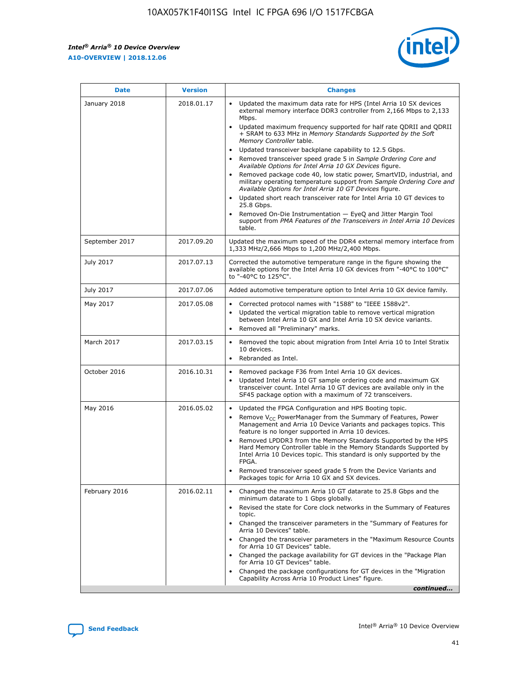*Intel® Arria® 10 Device Overview* **A10-OVERVIEW | 2018.12.06**



| <b>Date</b>    | <b>Version</b> | <b>Changes</b>                                                                                                                                                                                                                                                                                                                                                                                                                                                                                                                                                                                                                                                                                                                                                                                                                                                                                                                                                            |
|----------------|----------------|---------------------------------------------------------------------------------------------------------------------------------------------------------------------------------------------------------------------------------------------------------------------------------------------------------------------------------------------------------------------------------------------------------------------------------------------------------------------------------------------------------------------------------------------------------------------------------------------------------------------------------------------------------------------------------------------------------------------------------------------------------------------------------------------------------------------------------------------------------------------------------------------------------------------------------------------------------------------------|
| January 2018   | 2018.01.17     | Updated the maximum data rate for HPS (Intel Arria 10 SX devices<br>external memory interface DDR3 controller from 2,166 Mbps to 2,133<br>Mbps.<br>Updated maximum frequency supported for half rate QDRII and QDRII<br>+ SRAM to 633 MHz in Memory Standards Supported by the Soft<br>Memory Controller table.<br>Updated transceiver backplane capability to 12.5 Gbps.<br>$\bullet$<br>Removed transceiver speed grade 5 in Sample Ordering Core and<br>Available Options for Intel Arria 10 GX Devices figure.<br>Removed package code 40, low static power, SmartVID, industrial, and<br>military operating temperature support from Sample Ordering Core and<br>Available Options for Intel Arria 10 GT Devices figure.<br>Updated short reach transceiver rate for Intel Arria 10 GT devices to<br>25.8 Gbps.<br>Removed On-Die Instrumentation - EyeQ and Jitter Margin Tool<br>support from PMA Features of the Transceivers in Intel Arria 10 Devices<br>table. |
| September 2017 | 2017.09.20     | Updated the maximum speed of the DDR4 external memory interface from<br>1,333 MHz/2,666 Mbps to 1,200 MHz/2,400 Mbps.                                                                                                                                                                                                                                                                                                                                                                                                                                                                                                                                                                                                                                                                                                                                                                                                                                                     |
| July 2017      | 2017.07.13     | Corrected the automotive temperature range in the figure showing the<br>available options for the Intel Arria 10 GX devices from "-40°C to 100°C"<br>to "-40°C to 125°C".                                                                                                                                                                                                                                                                                                                                                                                                                                                                                                                                                                                                                                                                                                                                                                                                 |
| July 2017      | 2017.07.06     | Added automotive temperature option to Intel Arria 10 GX device family.                                                                                                                                                                                                                                                                                                                                                                                                                                                                                                                                                                                                                                                                                                                                                                                                                                                                                                   |
| May 2017       | 2017.05.08     | Corrected protocol names with "1588" to "IEEE 1588v2".<br>$\bullet$<br>Updated the vertical migration table to remove vertical migration<br>$\bullet$<br>between Intel Arria 10 GX and Intel Arria 10 SX device variants.<br>Removed all "Preliminary" marks.<br>$\bullet$                                                                                                                                                                                                                                                                                                                                                                                                                                                                                                                                                                                                                                                                                                |
| March 2017     | 2017.03.15     | Removed the topic about migration from Intel Arria 10 to Intel Stratix<br>10 devices.<br>Rebranded as Intel.<br>$\bullet$                                                                                                                                                                                                                                                                                                                                                                                                                                                                                                                                                                                                                                                                                                                                                                                                                                                 |
| October 2016   | 2016.10.31     | Removed package F36 from Intel Arria 10 GX devices.<br>Updated Intel Arria 10 GT sample ordering code and maximum GX<br>$\bullet$<br>transceiver count. Intel Arria 10 GT devices are available only in the<br>SF45 package option with a maximum of 72 transceivers.                                                                                                                                                                                                                                                                                                                                                                                                                                                                                                                                                                                                                                                                                                     |
| May 2016       | 2016.05.02     | Updated the FPGA Configuration and HPS Booting topic.<br>$\bullet$<br>Remove V <sub>CC</sub> PowerManager from the Summary of Features, Power<br>Management and Arria 10 Device Variants and packages topics. This<br>feature is no longer supported in Arria 10 devices.<br>Removed LPDDR3 from the Memory Standards Supported by the HPS<br>Hard Memory Controller table in the Memory Standards Supported by<br>Intel Arria 10 Devices topic. This standard is only supported by the<br>FPGA.<br>Removed transceiver speed grade 5 from the Device Variants and<br>Packages topic for Arria 10 GX and SX devices.                                                                                                                                                                                                                                                                                                                                                      |
| February 2016  | 2016.02.11     | Changed the maximum Arria 10 GT datarate to 25.8 Gbps and the<br>minimum datarate to 1 Gbps globally.<br>Revised the state for Core clock networks in the Summary of Features<br>$\bullet$<br>topic.<br>Changed the transceiver parameters in the "Summary of Features for<br>$\bullet$<br>Arria 10 Devices" table.<br>• Changed the transceiver parameters in the "Maximum Resource Counts<br>for Arria 10 GT Devices" table.<br>Changed the package availability for GT devices in the "Package Plan<br>for Arria 10 GT Devices" table.<br>Changed the package configurations for GT devices in the "Migration"<br>Capability Across Arria 10 Product Lines" figure.<br>continued                                                                                                                                                                                                                                                                                       |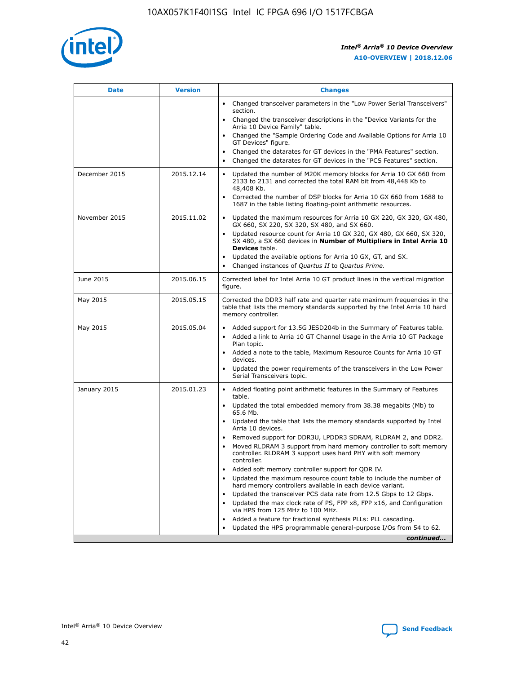

| <b>Date</b>   | <b>Version</b> | <b>Changes</b>                                                                                                                                                               |
|---------------|----------------|------------------------------------------------------------------------------------------------------------------------------------------------------------------------------|
|               |                | • Changed transceiver parameters in the "Low Power Serial Transceivers"<br>section.                                                                                          |
|               |                | • Changed the transceiver descriptions in the "Device Variants for the<br>Arria 10 Device Family" table.                                                                     |
|               |                | Changed the "Sample Ordering Code and Available Options for Arria 10<br>$\bullet$<br>GT Devices" figure.                                                                     |
|               |                | Changed the datarates for GT devices in the "PMA Features" section.                                                                                                          |
|               |                | Changed the datarates for GT devices in the "PCS Features" section.<br>$\bullet$                                                                                             |
| December 2015 | 2015.12.14     | Updated the number of M20K memory blocks for Arria 10 GX 660 from<br>2133 to 2131 and corrected the total RAM bit from 48,448 Kb to<br>48,408 Kb.                            |
|               |                | Corrected the number of DSP blocks for Arria 10 GX 660 from 1688 to<br>1687 in the table listing floating-point arithmetic resources.                                        |
| November 2015 | 2015.11.02     | Updated the maximum resources for Arria 10 GX 220, GX 320, GX 480,<br>$\bullet$<br>GX 660, SX 220, SX 320, SX 480, and SX 660.                                               |
|               |                | • Updated resource count for Arria 10 GX 320, GX 480, GX 660, SX 320,<br>SX 480, a SX 660 devices in Number of Multipliers in Intel Arria 10<br><b>Devices</b> table.        |
|               |                | Updated the available options for Arria 10 GX, GT, and SX.                                                                                                                   |
|               |                | Changed instances of Quartus II to Quartus Prime.<br>$\bullet$                                                                                                               |
| June 2015     | 2015.06.15     | Corrected label for Intel Arria 10 GT product lines in the vertical migration<br>figure.                                                                                     |
| May 2015      | 2015.05.15     | Corrected the DDR3 half rate and quarter rate maximum frequencies in the<br>table that lists the memory standards supported by the Intel Arria 10 hard<br>memory controller. |
| May 2015      | 2015.05.04     | • Added support for 13.5G JESD204b in the Summary of Features table.<br>• Added a link to Arria 10 GT Channel Usage in the Arria 10 GT Package<br>Plan topic.                |
|               |                | • Added a note to the table, Maximum Resource Counts for Arria 10 GT<br>devices.                                                                                             |
|               |                | • Updated the power requirements of the transceivers in the Low Power<br>Serial Transceivers topic.                                                                          |
| January 2015  | 2015.01.23     | • Added floating point arithmetic features in the Summary of Features<br>table.                                                                                              |
|               |                | • Updated the total embedded memory from 38.38 megabits (Mb) to<br>65.6 Mb.                                                                                                  |
|               |                | • Updated the table that lists the memory standards supported by Intel<br>Arria 10 devices.                                                                                  |
|               |                | Removed support for DDR3U, LPDDR3 SDRAM, RLDRAM 2, and DDR2.                                                                                                                 |
|               |                | Moved RLDRAM 3 support from hard memory controller to soft memory<br>controller. RLDRAM 3 support uses hard PHY with soft memory<br>controller.                              |
|               |                | Added soft memory controller support for QDR IV.<br>٠                                                                                                                        |
|               |                | Updated the maximum resource count table to include the number of<br>hard memory controllers available in each device variant.                                               |
|               |                | Updated the transceiver PCS data rate from 12.5 Gbps to 12 Gbps.<br>$\bullet$                                                                                                |
|               |                | Updated the max clock rate of PS, FPP x8, FPP x16, and Configuration<br>via HPS from 125 MHz to 100 MHz.                                                                     |
|               |                | Added a feature for fractional synthesis PLLs: PLL cascading.                                                                                                                |
|               |                | Updated the HPS programmable general-purpose I/Os from 54 to 62.<br>$\bullet$<br>continued                                                                                   |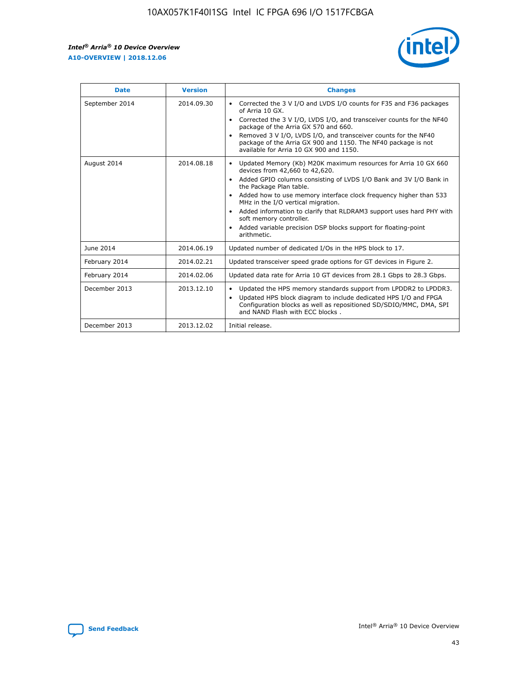r



| <b>Date</b>    | <b>Version</b> | <b>Changes</b>                                                                                                                                                                                                                                                                                                                                                                                                                                                                                                                                      |
|----------------|----------------|-----------------------------------------------------------------------------------------------------------------------------------------------------------------------------------------------------------------------------------------------------------------------------------------------------------------------------------------------------------------------------------------------------------------------------------------------------------------------------------------------------------------------------------------------------|
| September 2014 | 2014.09.30     | Corrected the 3 V I/O and LVDS I/O counts for F35 and F36 packages<br>$\bullet$<br>of Arria 10 GX.<br>Corrected the 3 V I/O, LVDS I/O, and transceiver counts for the NF40<br>$\bullet$<br>package of the Arria GX 570 and 660.<br>Removed 3 V I/O, LVDS I/O, and transceiver counts for the NF40<br>package of the Arria GX 900 and 1150. The NF40 package is not<br>available for Arria 10 GX 900 and 1150.                                                                                                                                       |
| August 2014    | 2014.08.18     | Updated Memory (Kb) M20K maximum resources for Arria 10 GX 660<br>devices from 42,660 to 42,620.<br>Added GPIO columns consisting of LVDS I/O Bank and 3V I/O Bank in<br>$\bullet$<br>the Package Plan table.<br>Added how to use memory interface clock frequency higher than 533<br>$\bullet$<br>MHz in the I/O vertical migration.<br>Added information to clarify that RLDRAM3 support uses hard PHY with<br>$\bullet$<br>soft memory controller.<br>Added variable precision DSP blocks support for floating-point<br>$\bullet$<br>arithmetic. |
| June 2014      | 2014.06.19     | Updated number of dedicated I/Os in the HPS block to 17.                                                                                                                                                                                                                                                                                                                                                                                                                                                                                            |
| February 2014  | 2014.02.21     | Updated transceiver speed grade options for GT devices in Figure 2.                                                                                                                                                                                                                                                                                                                                                                                                                                                                                 |
| February 2014  | 2014.02.06     | Updated data rate for Arria 10 GT devices from 28.1 Gbps to 28.3 Gbps.                                                                                                                                                                                                                                                                                                                                                                                                                                                                              |
| December 2013  | 2013.12.10     | Updated the HPS memory standards support from LPDDR2 to LPDDR3.<br>Updated HPS block diagram to include dedicated HPS I/O and FPGA<br>$\bullet$<br>Configuration blocks as well as repositioned SD/SDIO/MMC, DMA, SPI<br>and NAND Flash with ECC blocks.                                                                                                                                                                                                                                                                                            |
| December 2013  | 2013.12.02     | Initial release.                                                                                                                                                                                                                                                                                                                                                                                                                                                                                                                                    |